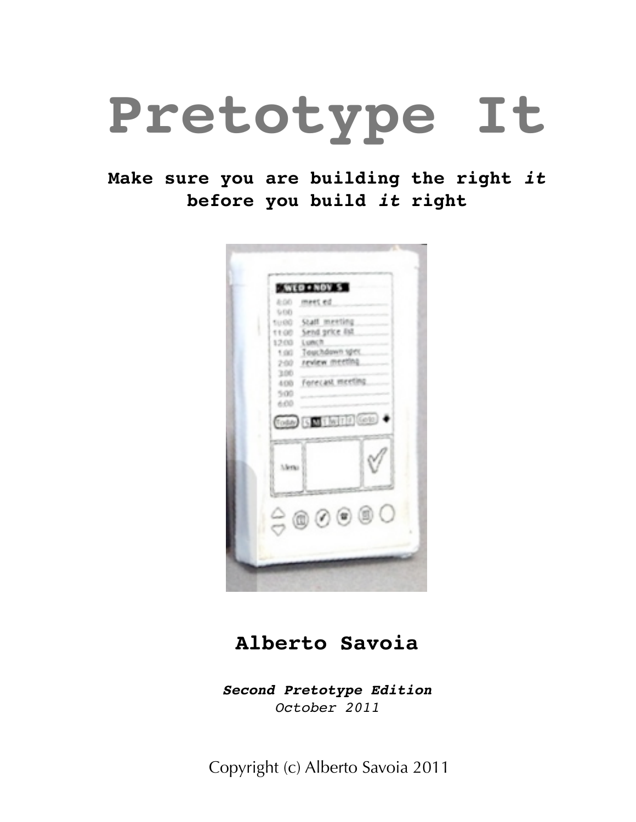# **Pretotype It**

#### **Make sure you are building the right** *it* **before you build** *it* **right**



#### **Alberto Savoia**

*Second Pretotype Edition October 2011*

Copyright (c) Alberto Savoia 2011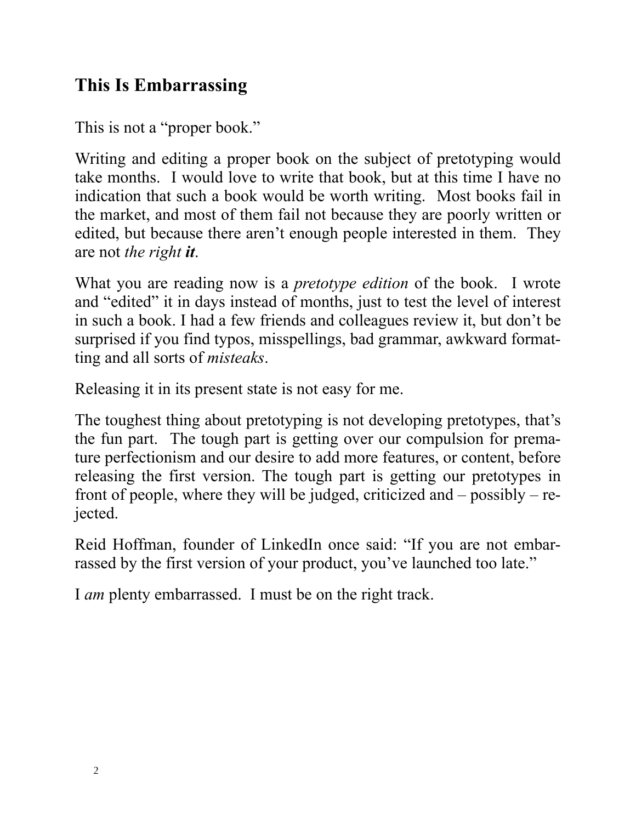#### **This Is Embarrassing**

This is not a "proper book."

Writing and editing a proper book on the subject of pretotyping would take months. I would love to write that book, but at this time I have no indication that such a book would be worth writing. Most books fail in the market, and most of them fail not because they are poorly written or edited, but because there aren't enough people interested in them. They are not *the right it*.

What you are reading now is a *pretotype edition* of the book. I wrote and "edited" it in days instead of months, just to test the level of interest in such a book. I had a few friends and colleagues review it, but don't be surprised if you find typos, misspellings, bad grammar, awkward formatting and all sorts of *misteaks*.

Releasing it in its present state is not easy for me.

The toughest thing about pretotyping is not developing pretotypes, that's the fun part. The tough part is getting over our compulsion for premature perfectionism and our desire to add more features, or content, before releasing the first version. The tough part is getting our pretotypes in front of people, where they will be judged, criticized and – possibly – rejected.

Reid Hoffman, founder of LinkedIn once said: "If you are not embarrassed by the first version of your product, you've launched too late."

I *am* plenty embarrassed. I must be on the right track.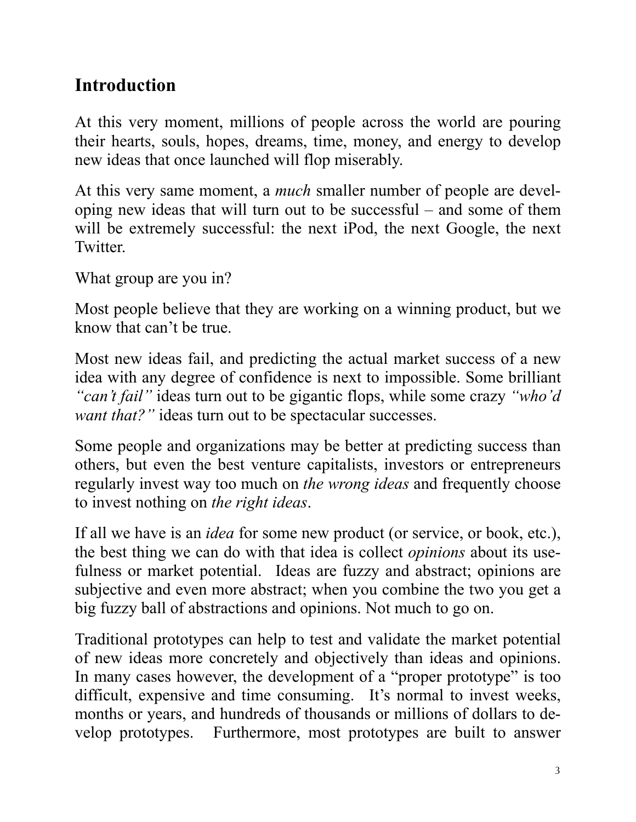#### **Introduction**

At this very moment, millions of people across the world are pouring their hearts, souls, hopes, dreams, time, money, and energy to develop new ideas that once launched will flop miserably.

At this very same moment, a *much* smaller number of people are developing new ideas that will turn out to be successful – and some of them will be extremely successful: the next iPod, the next Google, the next **Twitter** 

What group are you in?

Most people believe that they are working on a winning product, but we know that can't be true.

Most new ideas fail, and predicting the actual market success of a new idea with any degree of confidence is next to impossible. Some brilliant *"can't fail"* ideas turn out to be gigantic flops, while some crazy *"who'd want that?"* ideas turn out to be spectacular successes.

Some people and organizations may be better at predicting success than others, but even the best venture capitalists, investors or entrepreneurs regularly invest way too much on *the wrong ideas* and frequently choose to invest nothing on *the right ideas*.

If all we have is an *idea* for some new product (or service, or book, etc.), the best thing we can do with that idea is collect *opinions* about its usefulness or market potential. Ideas are fuzzy and abstract; opinions are subjective and even more abstract; when you combine the two you get a big fuzzy ball of abstractions and opinions. Not much to go on.

Traditional prototypes can help to test and validate the market potential of new ideas more concretely and objectively than ideas and opinions. In many cases however, the development of a "proper prototype" is too difficult, expensive and time consuming. It's normal to invest weeks, months or years, and hundreds of thousands or millions of dollars to develop prototypes. Furthermore, most prototypes are built to answer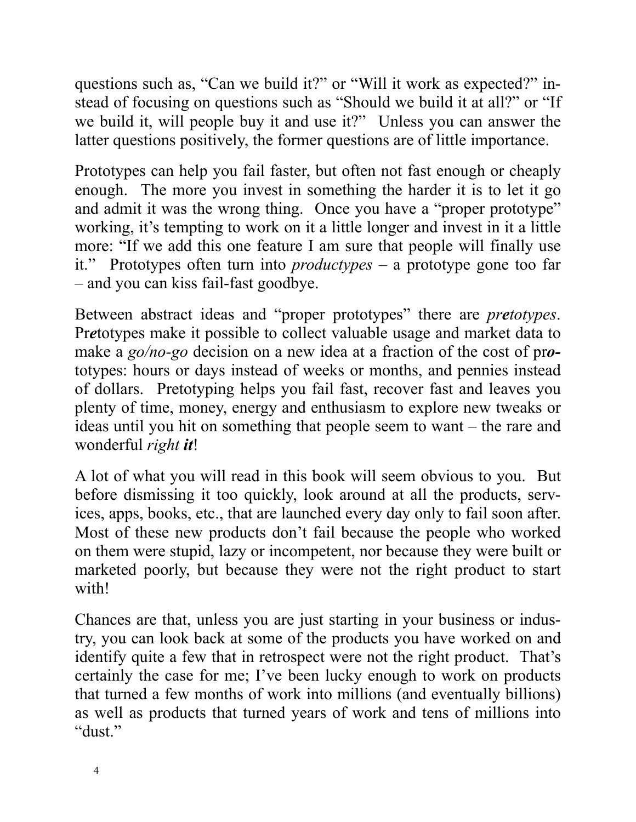questions such as, "Can we build it?" or "Will it work as expected?" instead of focusing on questions such as "Should we build it at all?" or "If we build it, will people buy it and use it?" Unless you can answer the latter questions positively, the former questions are of little importance.

Prototypes can help you fail faster, but often not fast enough or cheaply enough. The more you invest in something the harder it is to let it go and admit it was the wrong thing. Once you have a "proper prototype" working, it's tempting to work on it a little longer and invest in it a little more: "If we add this one feature I am sure that people will finally use it." Prototypes often turn into *productypes –* a prototype gone too far – and you can kiss fail-fast goodbye.

Between abstract ideas and "proper prototypes" there are *pretotypes*. Pr*e*totypes make it possible to collect valuable usage and market data to make a *go/no-go* decision on a new idea at a fraction of the cost of pr*o*totypes: hours or days instead of weeks or months, and pennies instead of dollars. Pretotyping helps you fail fast, recover fast and leaves you plenty of time, money, energy and enthusiasm to explore new tweaks or ideas until you hit on something that people seem to want – the rare and wonderful *right it*!

A lot of what you will read in this book will seem obvious to you. But before dismissing it too quickly, look around at all the products, services, apps, books, etc., that are launched every day only to fail soon after. Most of these new products don't fail because the people who worked on them were stupid, lazy or incompetent, nor because they were built or marketed poorly, but because they were not the right product to start with!

Chances are that, unless you are just starting in your business or industry, you can look back at some of the products you have worked on and identify quite a few that in retrospect were not the right product. That's certainly the case for me; I've been lucky enough to work on products that turned a few months of work into millions (and eventually billions) as well as products that turned years of work and tens of millions into "dust."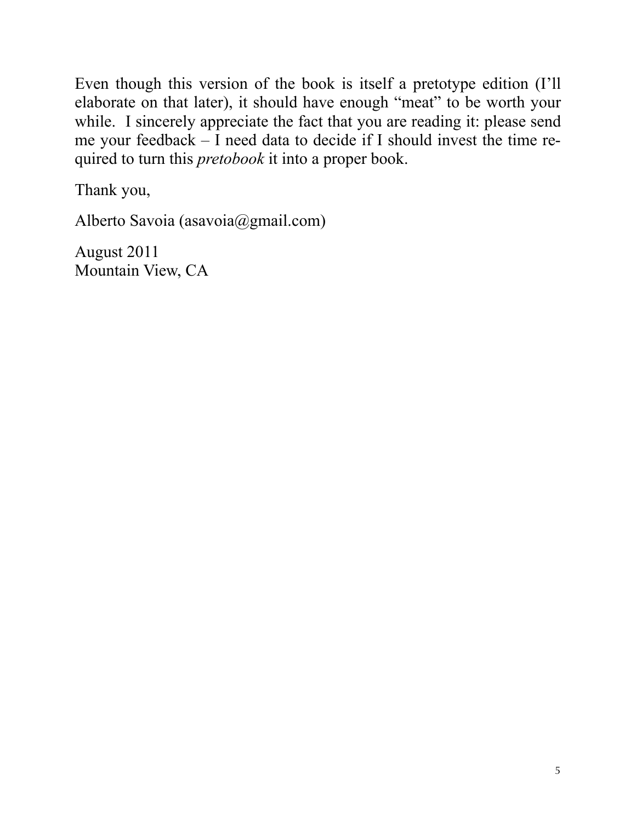Even though this version of the book is itself a pretotype edition (I'll elaborate on that later), it should have enough "meat" to be worth your while. I sincerely appreciate the fact that you are reading it: please send me your feedback – I need data to decide if I should invest the time required to turn this *pretobook* it into a proper book.

Thank you,

Alberto Savoia (asavoia@gmail.com)

August 2011 Mountain View, CA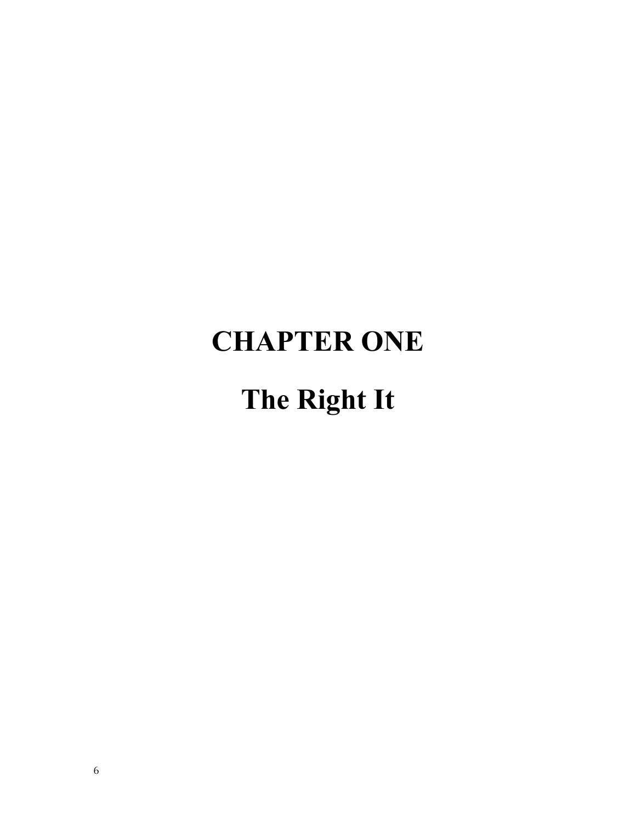## **CHAPTER ONE**

### **The Right It**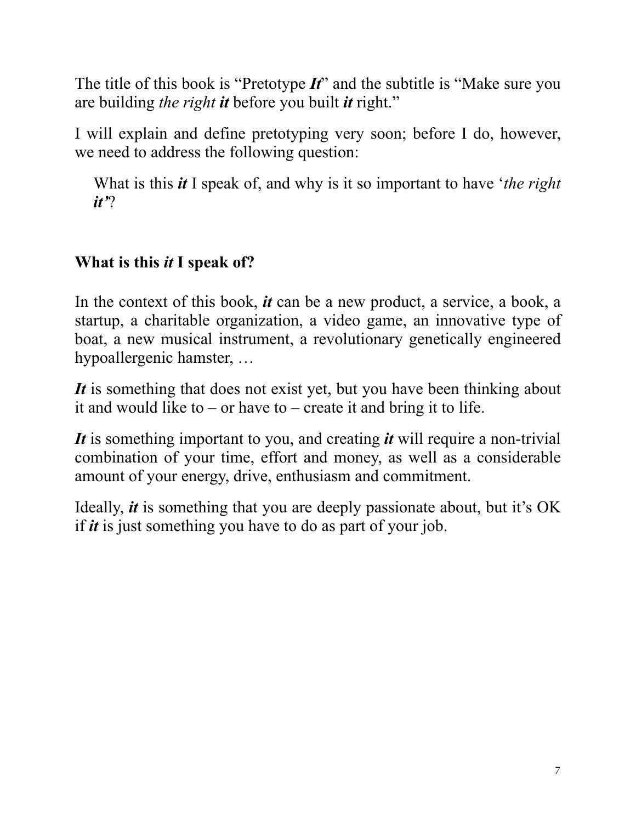The title of this book is "Pretotype *It*" and the subtitle is "Make sure you are building *the right it* before you built *it* right."

I will explain and define pretotyping very soon; before I do, however, we need to address the following question:

What is this *it* I speak of, and why is it so important to have '*the right it'*?

#### **What is this** *it* **I speak of?**

In the context of this book, *it* can be a new product, a service, a book, a startup, a charitable organization, a video game, an innovative type of boat, a new musical instrument, a revolutionary genetically engineered hypoallergenic hamster, …

It is something that does not exist yet, but you have been thinking about it and would like to – or have to – create it and bring it to life.

*It* is something important to you, and creating *it* will require a non-trivial combination of your time, effort and money, as well as a considerable amount of your energy, drive, enthusiasm and commitment.

Ideally, *it* is something that you are deeply passionate about, but it's OK if *it* is just something you have to do as part of your job.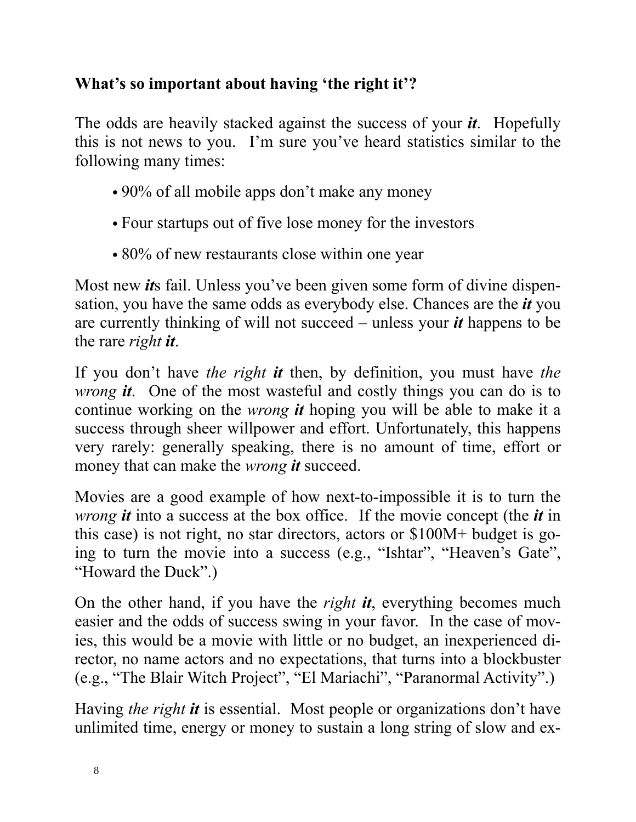#### **What's so important about having 'the right it'?**

The odds are heavily stacked against the success of your *it*. Hopefully this is not news to you. I'm sure you've heard statistics similar to the following many times:

- 90% of all mobile apps don't make any money
- Four startups out of five lose money for the investors
- 80% of new restaurants close within one year

Most new *it*s fail. Unless you've been given some form of divine dispensation, you have the same odds as everybody else. Chances are the *it* you are currently thinking of will not succeed – unless your *it* happens to be the rare *right it*.

If you don't have *the right it* then, by definition, you must have *the wrong it*. One of the most wasteful and costly things you can do is to continue working on the *wrong it* hoping you will be able to make it a success through sheer willpower and effort. Unfortunately, this happens very rarely: generally speaking, there is no amount of time, effort or money that can make the *wrong it* succeed.

Movies are a good example of how next-to-impossible it is to turn the *wrong it* into a success at the box office. If the movie concept (the *it* in this case) is not right, no star directors, actors or \$100M+ budget is going to turn the movie into a success (e.g., "Ishtar", "Heaven's Gate", "Howard the Duck".)

On the other hand, if you have the *right it*, everything becomes much easier and the odds of success swing in your favor. In the case of movies, this would be a movie with little or no budget, an inexperienced director, no name actors and no expectations, that turns into a blockbuster (e.g., "The Blair Witch Project", "El Mariachi", "Paranormal Activity".)

Having *the right it* is essential. Most people or organizations don't have unlimited time, energy or money to sustain a long string of slow and ex-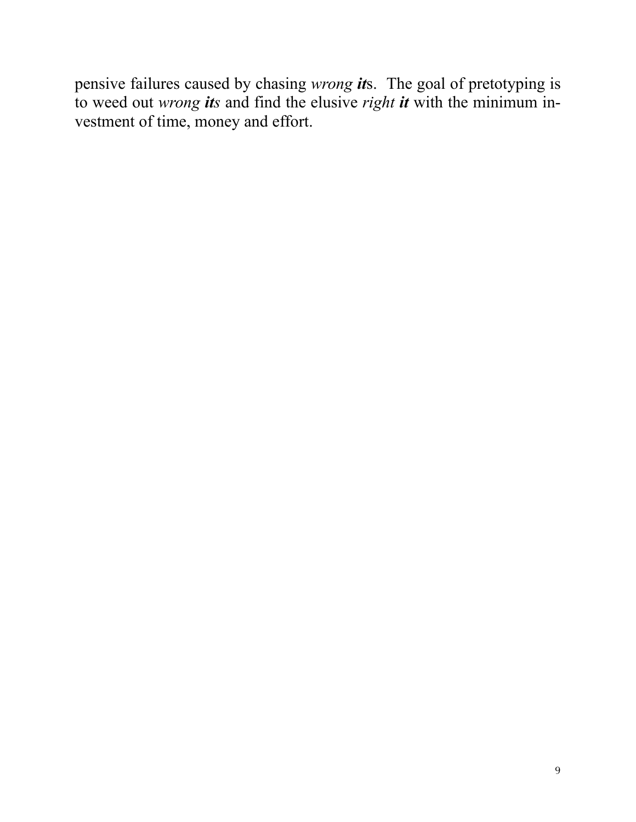pensive failures caused by chasing *wrong it*s. The goal of pretotyping is to weed out *wrong its* and find the elusive *right it* with the minimum investment of time, money and effort.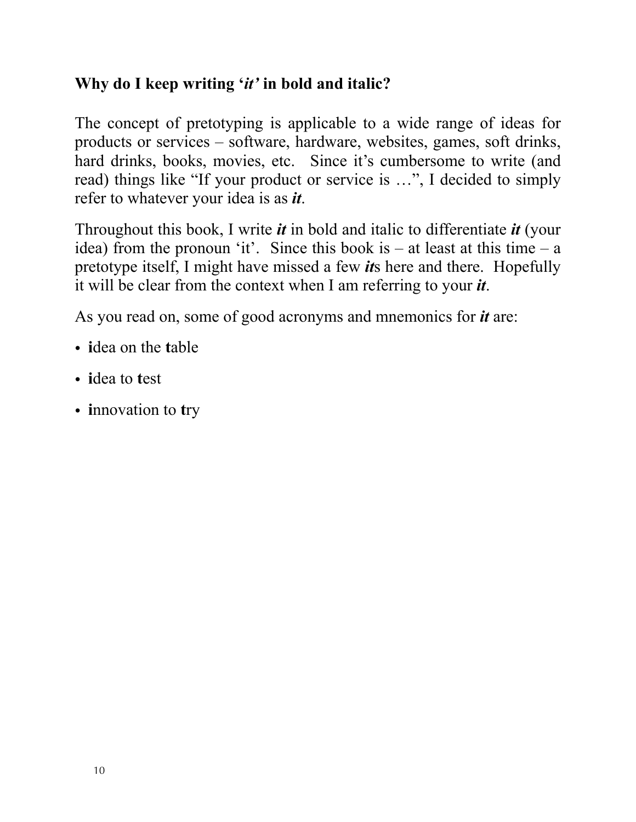#### **Why do I keep writing '***it'* **in bold and italic?**

The concept of pretotyping is applicable to a wide range of ideas for products or services – software, hardware, websites, games, soft drinks, hard drinks, books, movies, etc. Since it's cumbersome to write (and read) things like "If your product or service is …", I decided to simply refer to whatever your idea is as *it*.

Throughout this book, I write *it* in bold and italic to differentiate *it* (your idea) from the pronoun 'it'. Since this book is  $-$  at least at this time  $-$  a pretotype itself, I might have missed a few *it*s here and there. Hopefully it will be clear from the context when I am referring to your *it*.

As you read on, some of good acronyms and mnemonics for *it* are:

- **i**dea on the **t**able
- **i**dea to **t**est
- **i**nnovation to **t**ry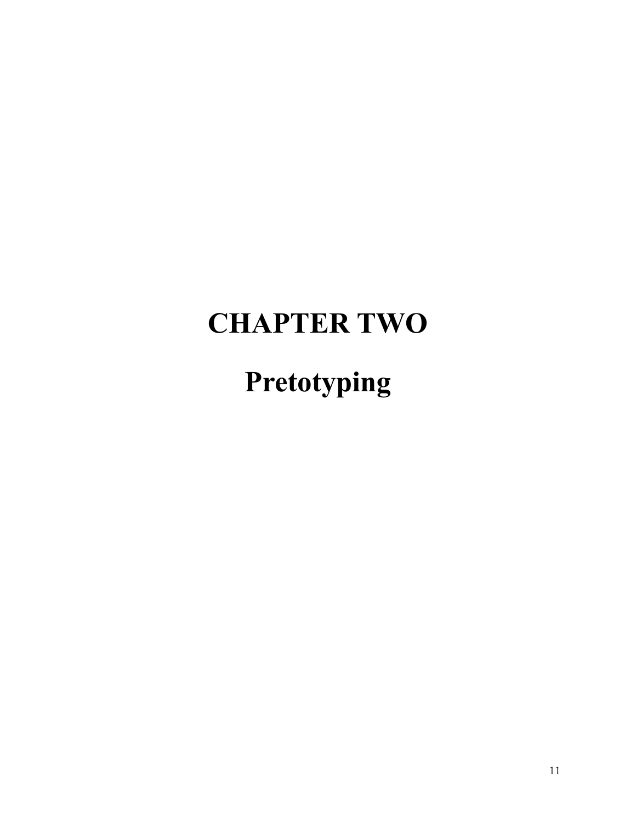### **CHAPTER TWO**

**Pretotyping**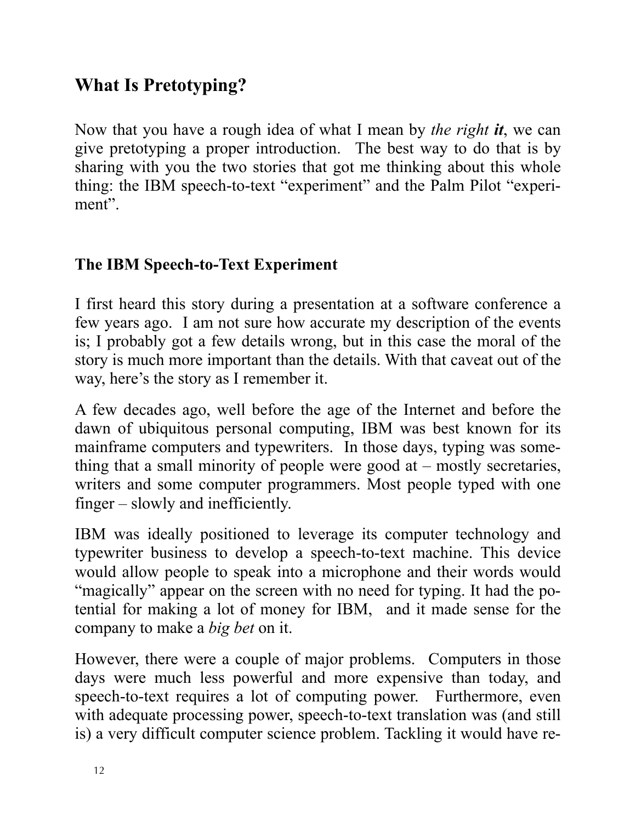#### **What Is Pretotyping?**

Now that you have a rough idea of what I mean by *the right it*, we can give pretotyping a proper introduction. The best way to do that is by sharing with you the two stories that got me thinking about this whole thing: the IBM speech-to-text "experiment" and the Palm Pilot "experiment".

#### **The IBM Speech-to-Text Experiment**

I first heard this story during a presentation at a software conference a few years ago. I am not sure how accurate my description of the events is; I probably got a few details wrong, but in this case the moral of the story is much more important than the details. With that caveat out of the way, here's the story as I remember it.

A few decades ago, well before the age of the Internet and before the dawn of ubiquitous personal computing, IBM was best known for its mainframe computers and typewriters. In those days, typing was something that a small minority of people were good at – mostly secretaries, writers and some computer programmers. Most people typed with one finger – slowly and inefficiently.

IBM was ideally positioned to leverage its computer technology and typewriter business to develop a speech-to-text machine. This device would allow people to speak into a microphone and their words would "magically" appear on the screen with no need for typing. It had the potential for making a lot of money for IBM, and it made sense for the company to make a *big bet* on it.

However, there were a couple of major problems. Computers in those days were much less powerful and more expensive than today, and speech-to-text requires a lot of computing power. Furthermore, even with adequate processing power, speech-to-text translation was (and still is) a very difficult computer science problem. Tackling it would have re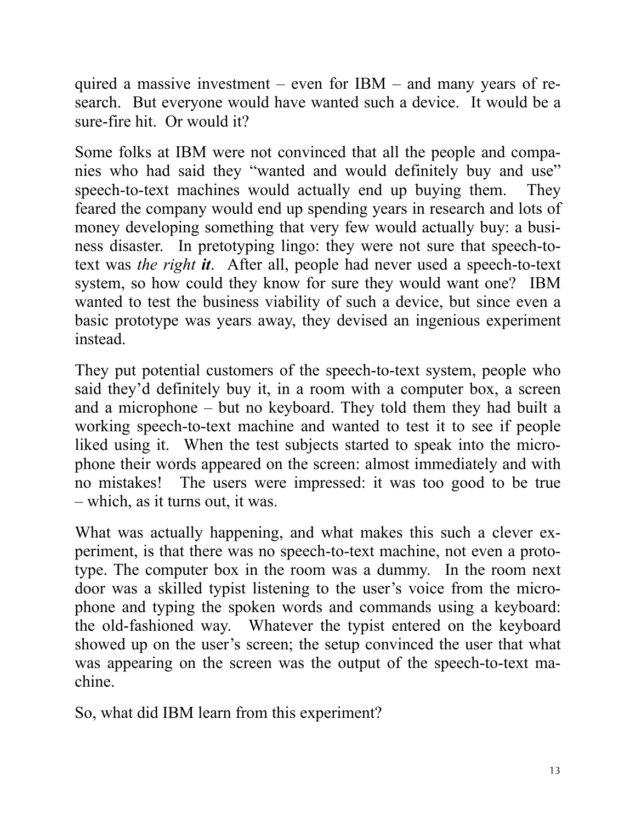quired a massive investment – even for IBM – and many years of research. But everyone would have wanted such a device. It would be a sure-fire hit. Or would it?

Some folks at IBM were not convinced that all the people and companies who had said they "wanted and would definitely buy and use" speech-to-text machines would actually end up buying them. They feared the company would end up spending years in research and lots of money developing something that very few would actually buy: a business disaster. In pretotyping lingo: they were not sure that speech-totext was *the right it*. After all, people had never used a speech-to-text system, so how could they know for sure they would want one? IBM wanted to test the business viability of such a device, but since even a basic prototype was years away, they devised an ingenious experiment instead.

They put potential customers of the speech-to-text system, people who said they'd definitely buy it, in a room with a computer box, a screen and a microphone – but no keyboard. They told them they had built a working speech-to-text machine and wanted to test it to see if people liked using it. When the test subjects started to speak into the microphone their words appeared on the screen: almost immediately and with no mistakes! The users were impressed: it was too good to be true – which, as it turns out, it was.

What was actually happening, and what makes this such a clever experiment, is that there was no speech-to-text machine, not even a prototype. The computer box in the room was a dummy. In the room next door was a skilled typist listening to the user's voice from the microphone and typing the spoken words and commands using a keyboard: the old-fashioned way. Whatever the typist entered on the keyboard showed up on the user's screen; the setup convinced the user that what was appearing on the screen was the output of the speech-to-text machine.

So, what did IBM learn from this experiment?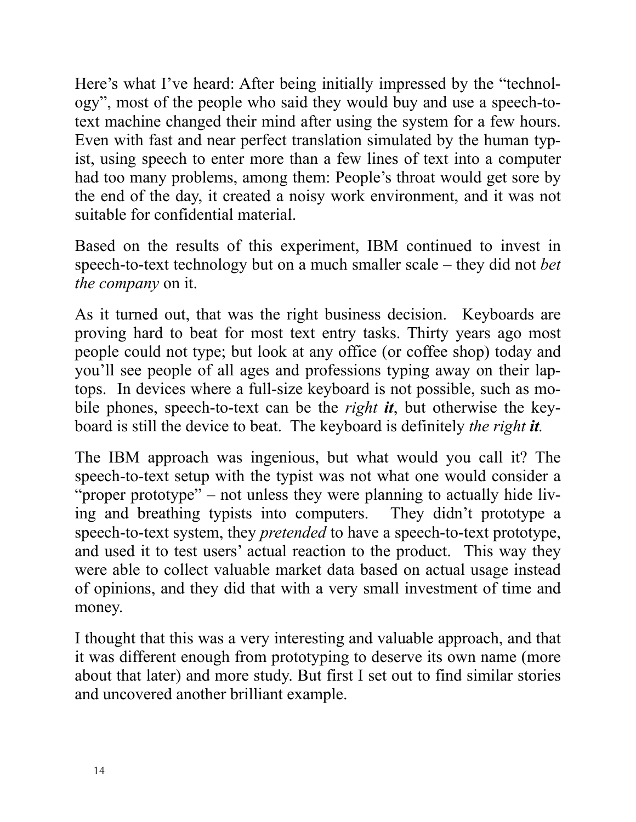Here's what I've heard: After being initially impressed by the "technology", most of the people who said they would buy and use a speech-totext machine changed their mind after using the system for a few hours. Even with fast and near perfect translation simulated by the human typist, using speech to enter more than a few lines of text into a computer had too many problems, among them: People's throat would get sore by the end of the day, it created a noisy work environment, and it was not suitable for confidential material.

Based on the results of this experiment, IBM continued to invest in speech-to-text technology but on a much smaller scale – they did not *bet the company* on it.

As it turned out, that was the right business decision. Keyboards are proving hard to beat for most text entry tasks. Thirty years ago most people could not type; but look at any office (or coffee shop) today and you'll see people of all ages and professions typing away on their laptops. In devices where a full-size keyboard is not possible, such as mobile phones, speech-to-text can be the *right it*, but otherwise the keyboard is still the device to beat. The keyboard is definitely *the right it.*

The IBM approach was ingenious, but what would you call it? The speech-to-text setup with the typist was not what one would consider a "proper prototype" – not unless they were planning to actually hide living and breathing typists into computers. They didn't prototype a speech-to-text system, they *pretended* to have a speech-to-text prototype, and used it to test users' actual reaction to the product. This way they were able to collect valuable market data based on actual usage instead of opinions, and they did that with a very small investment of time and money.

I thought that this was a very interesting and valuable approach, and that it was different enough from prototyping to deserve its own name (more about that later) and more study. But first I set out to find similar stories and uncovered another brilliant example.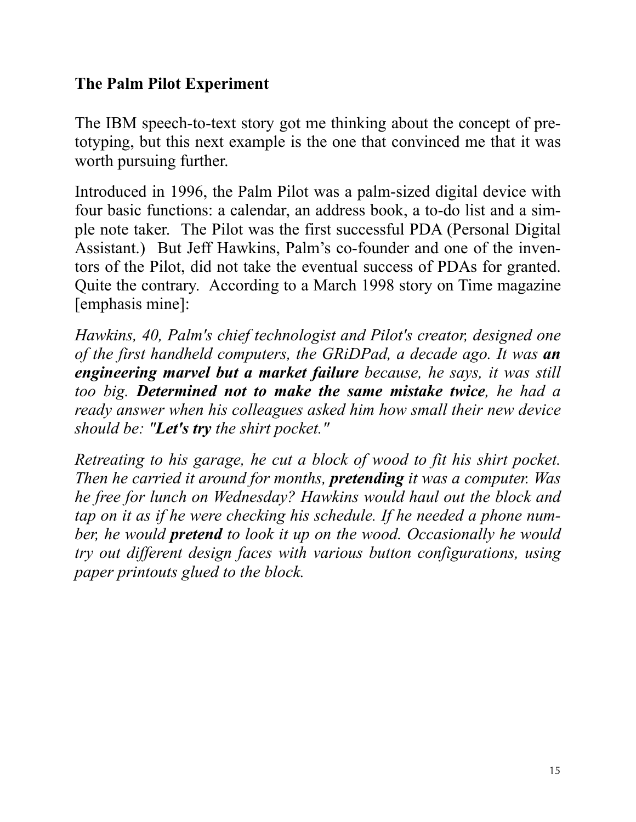#### **The Palm Pilot Experiment**

The IBM speech-to-text story got me thinking about the concept of pretotyping, but this next example is the one that convinced me that it was worth pursuing further.

Introduced in 1996, the Palm Pilot was a palm-sized digital device with four basic functions: a calendar, an address book, a to-do list and a simple note taker. The Pilot was the first successful PDA (Personal Digital Assistant.) But Jeff Hawkins, Palm's co-founder and one of the inventors of the Pilot, did not take the eventual success of PDAs for granted. Quite the contrary. According to a March 1998 story on Time magazine [emphasis mine]:

*Hawkins, 40, Palm's chief technologist and Pilot's creator, designed one of the first handheld computers, the GRiDPad, a decade ago. It was an engineering marvel but a market failure because, he says, it was still too big. Determined not to make the same mistake twice, he had a ready answer when his colleagues asked him how small their new device should be: "Let's try the shirt pocket."*

*Retreating to his garage, he cut a block of wood to fit his shirt pocket. Then he carried it around for months, pretending it was a computer. Was he free for lunch on Wednesday? Hawkins would haul out the block and tap on it as if he were checking his schedule. If he needed a phone number, he would pretend to look it up on the wood. Occasionally he would try out different design faces with various button configurations, using paper printouts glued to the block.*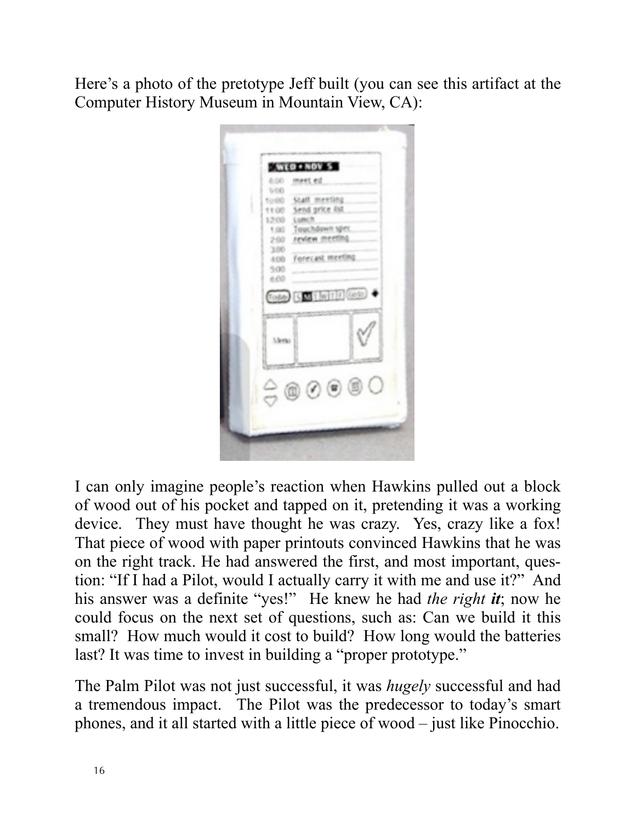Here's a photo of the pretotype Jeff built (you can see this artifact at the Computer History Museum in Mountain View, CA):



I can only imagine people's reaction when Hawkins pulled out a block of wood out of his pocket and tapped on it, pretending it was a working device. They must have thought he was crazy. Yes, crazy like a fox! That piece of wood with paper printouts convinced Hawkins that he was on the right track. He had answered the first, and most important, question: "If I had a Pilot, would I actually carry it with me and use it?" And his answer was a definite "yes!" He knew he had *the right it*; now he could focus on the next set of questions, such as: Can we build it this small? How much would it cost to build? How long would the batteries last? It was time to invest in building a "proper prototype."

The Palm Pilot was not just successful, it was *hugely* successful and had a tremendous impact. The Pilot was the predecessor to today's smart phones, and it all started with a little piece of wood – just like Pinocchio.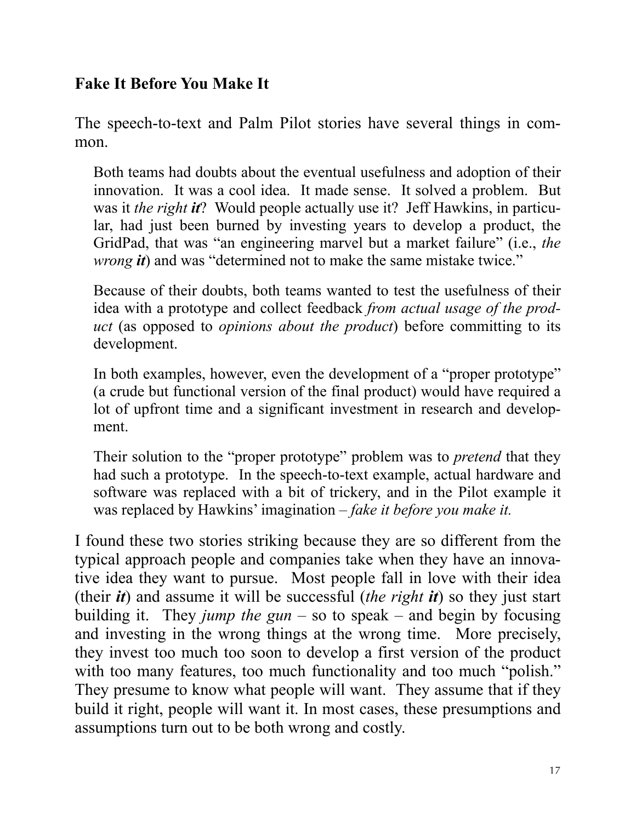#### **Fake It Before You Make It**

The speech-to-text and Palm Pilot stories have several things in common.

Both teams had doubts about the eventual usefulness and adoption of their innovation. It was a cool idea. It made sense. It solved a problem. But was it *the right it*? Would people actually use it? Jeff Hawkins, in particular, had just been burned by investing years to develop a product, the GridPad, that was "an engineering marvel but a market failure" (i.e., *the wrong it*) and was "determined not to make the same mistake twice."

Because of their doubts, both teams wanted to test the usefulness of their idea with a prototype and collect feedback *from actual usage of the product* (as opposed to *opinions about the product*) before committing to its development.

In both examples, however, even the development of a "proper prototype" (a crude but functional version of the final product) would have required a lot of upfront time and a significant investment in research and development.

Their solution to the "proper prototype" problem was to *pretend* that they had such a prototype. In the speech-to-text example, actual hardware and software was replaced with a bit of trickery, and in the Pilot example it was replaced by Hawkins' imagination – *fake it before you make it.*

I found these two stories striking because they are so different from the typical approach people and companies take when they have an innovative idea they want to pursue. Most people fall in love with their idea (their *it*) and assume it will be successful (*the right it*) so they just start building it. They *jump the gun* – so to speak – and begin by focusing and investing in the wrong things at the wrong time. More precisely, they invest too much too soon to develop a first version of the product with too many features, too much functionality and too much "polish." They presume to know what people will want. They assume that if they build it right, people will want it. In most cases, these presumptions and assumptions turn out to be both wrong and costly.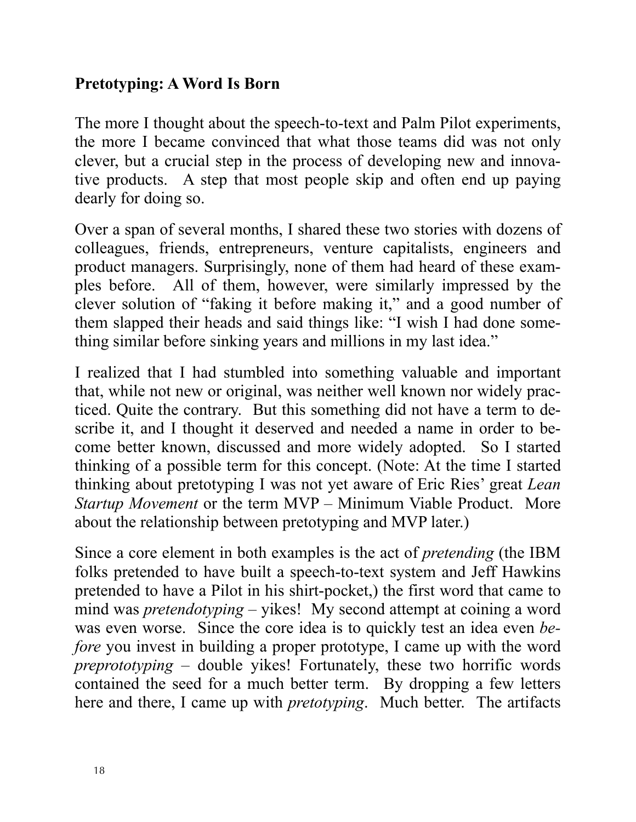#### **Pretotyping: A Word Is Born**

The more I thought about the speech-to-text and Palm Pilot experiments, the more I became convinced that what those teams did was not only clever, but a crucial step in the process of developing new and innovative products. A step that most people skip and often end up paying dearly for doing so.

Over a span of several months, I shared these two stories with dozens of colleagues, friends, entrepreneurs, venture capitalists, engineers and product managers. Surprisingly, none of them had heard of these examples before. All of them, however, were similarly impressed by the clever solution of "faking it before making it," and a good number of them slapped their heads and said things like: "I wish I had done something similar before sinking years and millions in my last idea."

I realized that I had stumbled into something valuable and important that, while not new or original, was neither well known nor widely practiced. Quite the contrary. But this something did not have a term to describe it, and I thought it deserved and needed a name in order to become better known, discussed and more widely adopted. So I started thinking of a possible term for this concept. (Note: At the time I started thinking about pretotyping I was not yet aware of Eric Ries' great *Lean Startup Movement* or the term MVP – Minimum Viable Product. More about the relationship between pretotyping and MVP later.)

Since a core element in both examples is the act of *pretending* (the IBM folks pretended to have built a speech-to-text system and Jeff Hawkins pretended to have a Pilot in his shirt-pocket,) the first word that came to mind was *pretendotyping* – yikes! My second attempt at coining a word was even worse. Since the core idea is to quickly test an idea even *before* you invest in building a proper prototype, I came up with the word *preprototyping* – double yikes! Fortunately, these two horrific words contained the seed for a much better term. By dropping a few letters here and there, I came up with *pretotyping*. Much better. The artifacts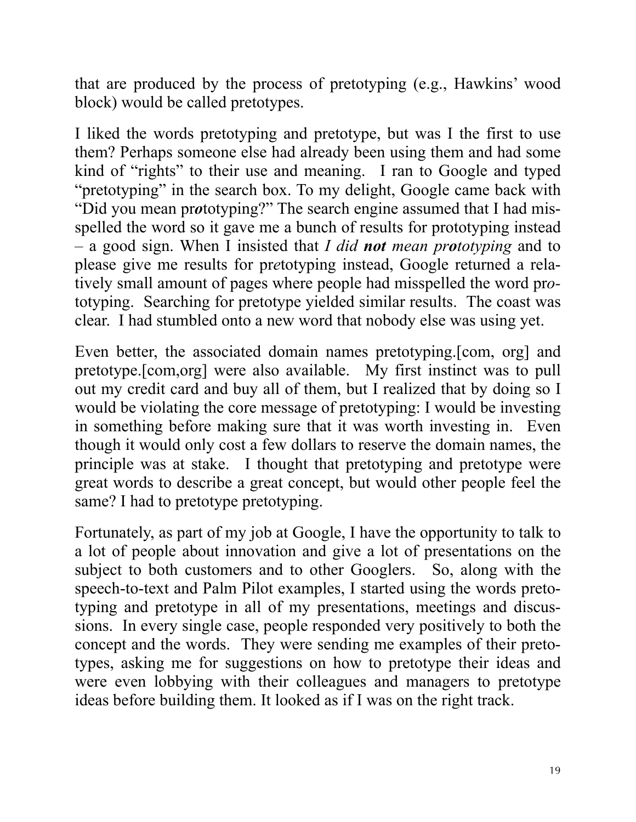that are produced by the process of pretotyping (e.g., Hawkins' wood block) would be called pretotypes.

I liked the words pretotyping and pretotype, but was I the first to use them? Perhaps someone else had already been using them and had some kind of "rights" to their use and meaning. I ran to Google and typed "pretotyping" in the search box. To my delight, Google came back with "Did you mean pr*o*totyping?" The search engine assumed that I had misspelled the word so it gave me a bunch of results for prototyping instead – a good sign. When I insisted that *I did not mean prototyping* and to please give me results for pr*e*totyping instead, Google returned a relatively small amount of pages where people had misspelled the word pr*o*totyping. Searching for pretotype yielded similar results. The coast was clear. I had stumbled onto a new word that nobody else was using yet.

Even better, the associated domain names pretotyping.[com, org] and pretotype.[com,org] were also available. My first instinct was to pull out my credit card and buy all of them, but I realized that by doing so I would be violating the core message of pretotyping: I would be investing in something before making sure that it was worth investing in. Even though it would only cost a few dollars to reserve the domain names, the principle was at stake. I thought that pretotyping and pretotype were great words to describe a great concept, but would other people feel the same? I had to pretotype pretotyping.

Fortunately, as part of my job at Google, I have the opportunity to talk to a lot of people about innovation and give a lot of presentations on the subject to both customers and to other Googlers. So, along with the speech-to-text and Palm Pilot examples, I started using the words pretotyping and pretotype in all of my presentations, meetings and discussions. In every single case, people responded very positively to both the concept and the words. They were sending me examples of their pretotypes, asking me for suggestions on how to pretotype their ideas and were even lobbying with their colleagues and managers to pretotype ideas before building them. It looked as if I was on the right track.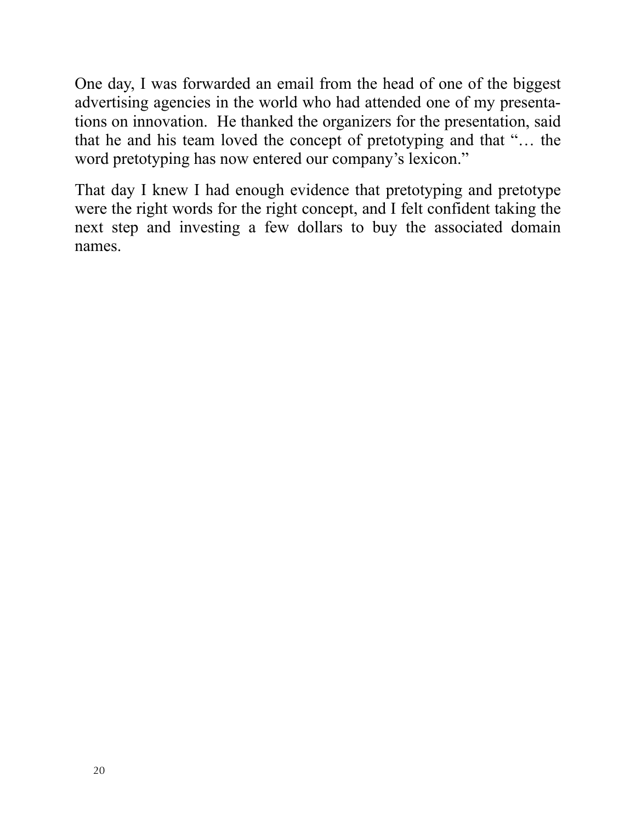One day, I was forwarded an email from the head of one of the biggest advertising agencies in the world who had attended one of my presentations on innovation. He thanked the organizers for the presentation, said that he and his team loved the concept of pretotyping and that "… the word pretotyping has now entered our company's lexicon."

That day I knew I had enough evidence that pretotyping and pretotype were the right words for the right concept, and I felt confident taking the next step and investing a few dollars to buy the associated domain names.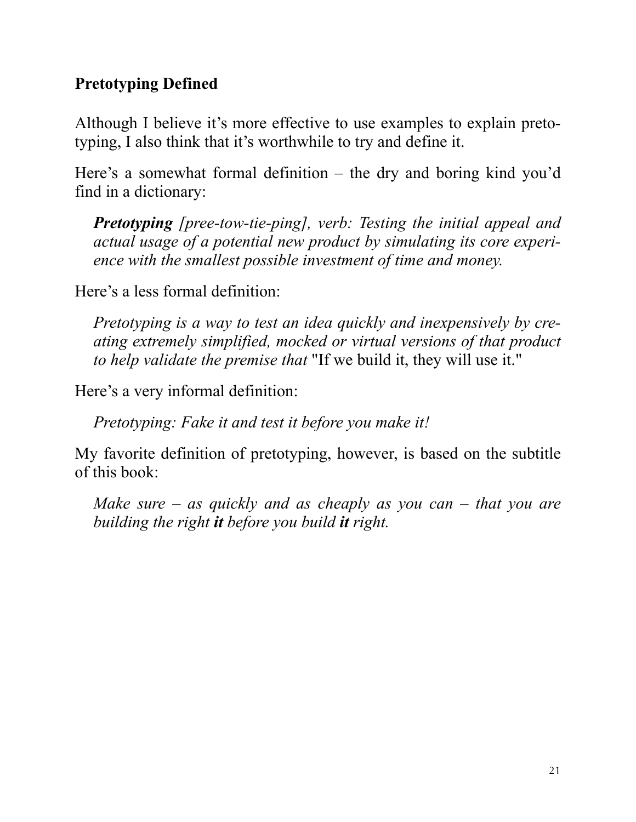#### **Pretotyping Defined**

Although I believe it's more effective to use examples to explain pretotyping, I also think that it's worthwhile to try and define it.

Here's a somewhat formal definition – the dry and boring kind you'd find in a dictionary:

*Pretotyping [pree-tow-tie-ping], verb: Testing the initial appeal and actual usage of a potential new product by simulating its core experience with the smallest possible investment of time and money.*

Here's a less formal definition:

*Pretotyping is a way to test an idea quickly and inexpensively by creating extremely simplified, mocked or virtual versions of that product to help validate the premise that* "If we build it, they will use it."

Here's a very informal definition:

*Pretotyping: Fake it and test it before you make it!*

My favorite definition of pretotyping, however, is based on the subtitle of this book:

*Make sure – as quickly and as cheaply as you can – that you are building the right it before you build it right.*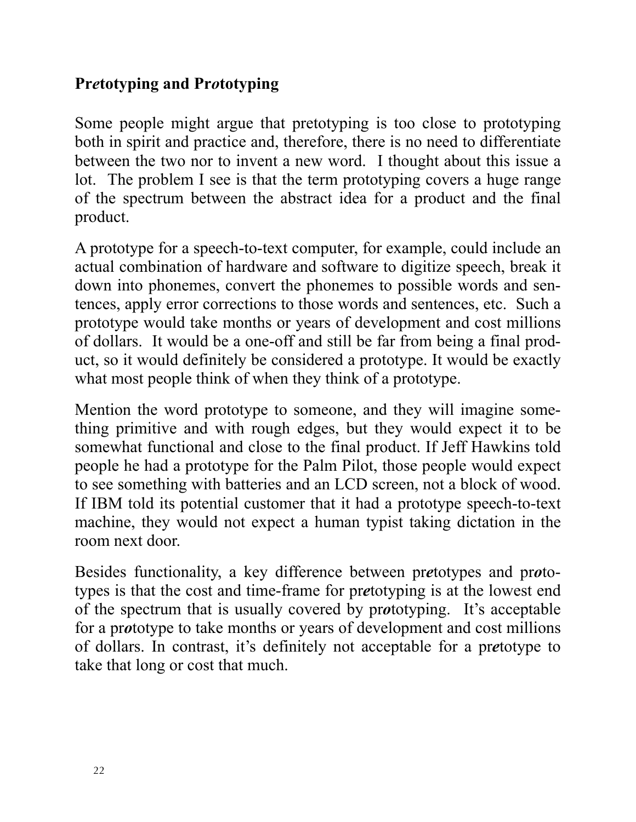#### **Pr***e***totyping and Pr***o***totyping**

Some people might argue that pretotyping is too close to prototyping both in spirit and practice and, therefore, there is no need to differentiate between the two nor to invent a new word. I thought about this issue a lot. The problem I see is that the term prototyping covers a huge range of the spectrum between the abstract idea for a product and the final product.

A prototype for a speech-to-text computer, for example, could include an actual combination of hardware and software to digitize speech, break it down into phonemes, convert the phonemes to possible words and sentences, apply error corrections to those words and sentences, etc. Such a prototype would take months or years of development and cost millions of dollars. It would be a one-off and still be far from being a final product, so it would definitely be considered a prototype. It would be exactly what most people think of when they think of a prototype.

Mention the word prototype to someone, and they will imagine something primitive and with rough edges, but they would expect it to be somewhat functional and close to the final product. If Jeff Hawkins told people he had a prototype for the Palm Pilot, those people would expect to see something with batteries and an LCD screen, not a block of wood. If IBM told its potential customer that it had a prototype speech-to-text machine, they would not expect a human typist taking dictation in the room next door.

Besides functionality, a key difference between pr*e*totypes and pr*o*totypes is that the cost and time-frame for pr*e*totyping is at the lowest end of the spectrum that is usually covered by pr*o*totyping. It's acceptable for a pr*o*totype to take months or years of development and cost millions of dollars. In contrast, it's definitely not acceptable for a pr*e*totype to take that long or cost that much.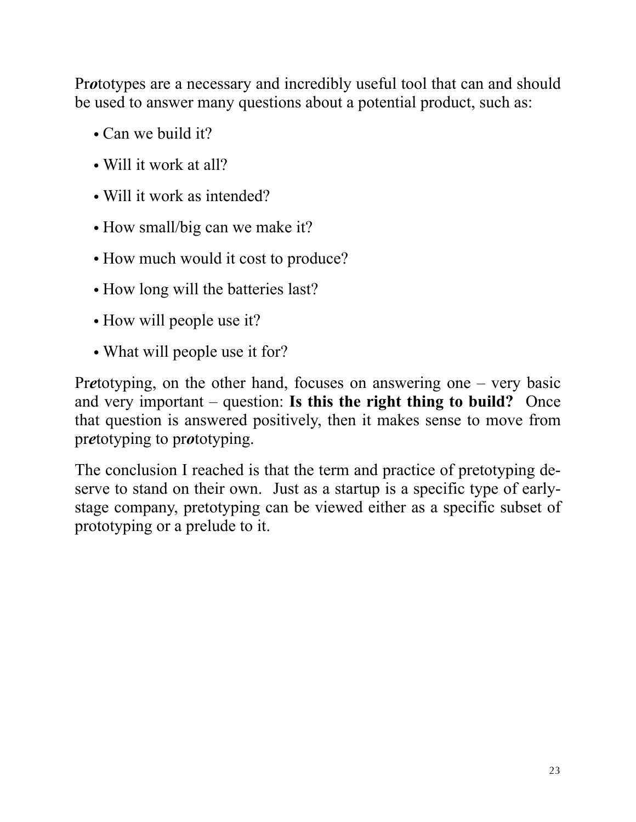Pr*o*totypes are a necessary and incredibly useful tool that can and should be used to answer many questions about a potential product, such as:

- Can we build it?
- Will it work at all?
- Will it work as intended?
- How small/big can we make it?
- How much would it cost to produce?
- How long will the batteries last?
- How will people use it?
- What will people use it for?

Pr*e*totyping, on the other hand, focuses on answering one – very basic and very important – question: **Is this the right thing to build?** Once that question is answered positively, then it makes sense to move from pr*e*totyping to pr*o*totyping.

The conclusion I reached is that the term and practice of pretotyping deserve to stand on their own. Just as a startup is a specific type of earlystage company, pretotyping can be viewed either as a specific subset of prototyping or a prelude to it.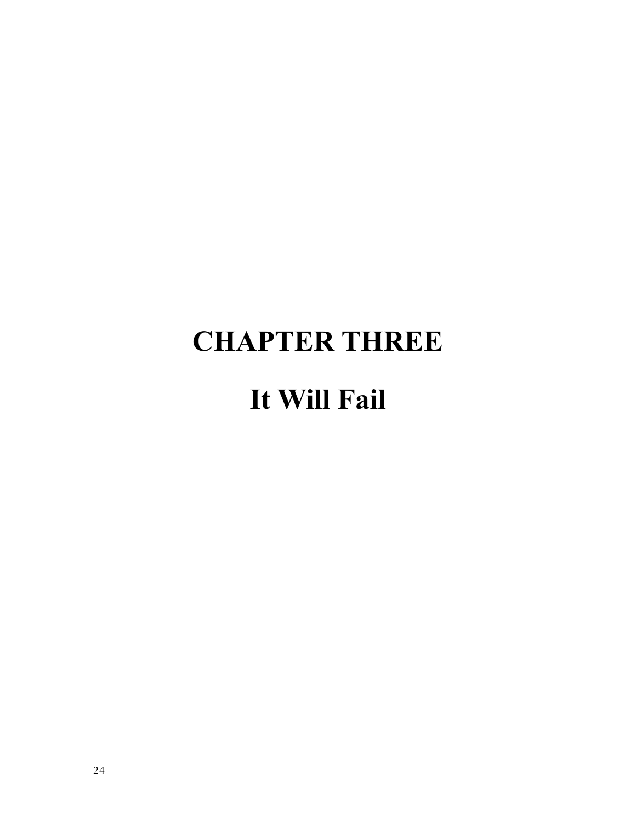## **CHAPTER THREE It Will Fail**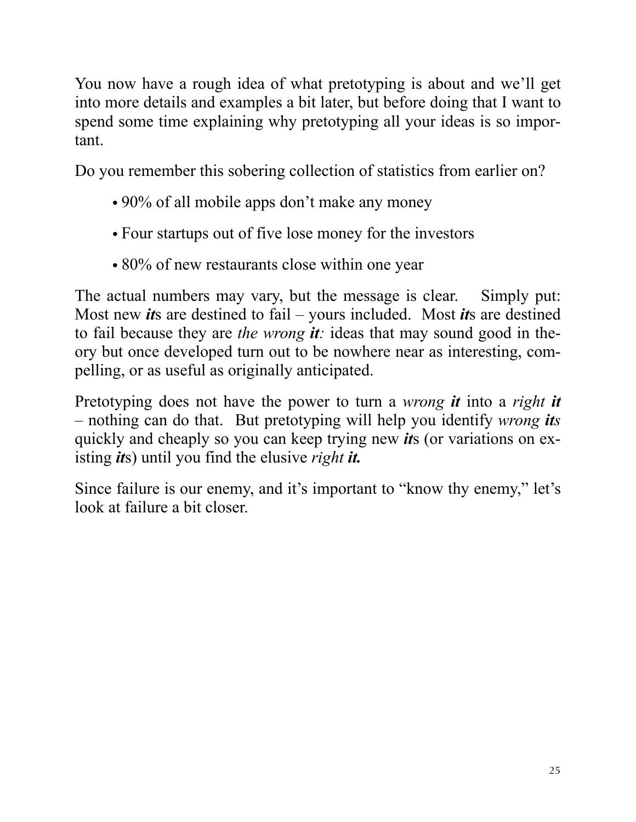You now have a rough idea of what pretotyping is about and we'll get into more details and examples a bit later, but before doing that I want to spend some time explaining why pretotyping all your ideas is so important.

Do you remember this sobering collection of statistics from earlier on?

- 90% of all mobile apps don't make any money
- Four startups out of five lose money for the investors
- 80% of new restaurants close within one year

The actual numbers may vary, but the message is clear. Simply put: Most new *it*s are destined to fail – yours included. Most *it*s are destined to fail because they are *the wrong it:* ideas that may sound good in theory but once developed turn out to be nowhere near as interesting, compelling, or as useful as originally anticipated.

Pretotyping does not have the power to turn a *wrong it* into a *right it* – nothing can do that. But pretotyping will help you identify *wrong its* quickly and cheaply so you can keep trying new *it*s (or variations on existing *it*s) until you find the elusive *right it.*

Since failure is our enemy, and it's important to "know thy enemy," let's look at failure a bit closer.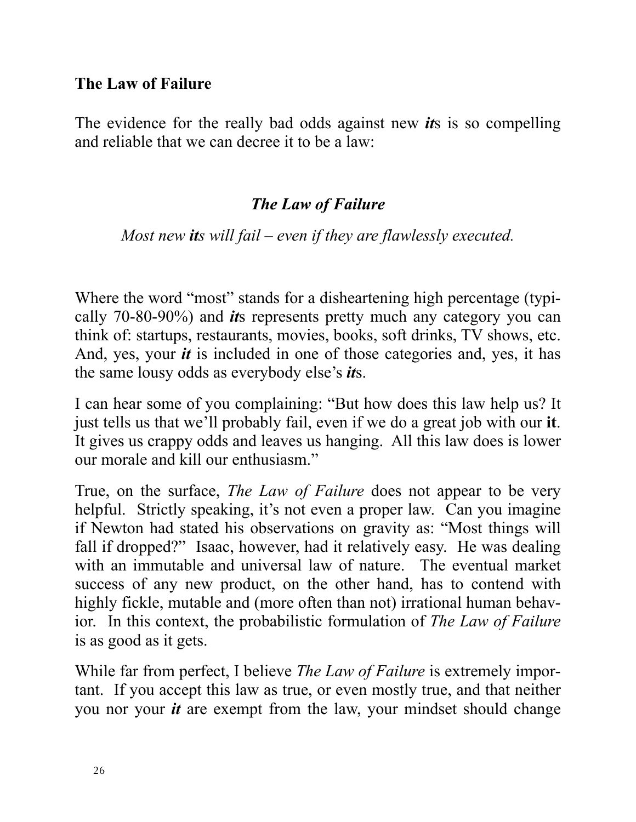#### **The Law of Failure**

The evidence for the really bad odds against new *it*s is so compelling and reliable that we can decree it to be a law:

#### *The Law of Failure*

#### *Most new its will fail – even if they are flawlessly executed.*

Where the word "most" stands for a disheartening high percentage (typically 70-80-90%) and *it*s represents pretty much any category you can think of: startups, restaurants, movies, books, soft drinks, TV shows, etc. And, yes, your *it* is included in one of those categories and, yes, it has the same lousy odds as everybody else's *it*s.

I can hear some of you complaining: "But how does this law help us? It just tells us that we'll probably fail, even if we do a great job with our **it**. It gives us crappy odds and leaves us hanging. All this law does is lower our morale and kill our enthusiasm"

True, on the surface, *The Law of Failure* does not appear to be very helpful. Strictly speaking, it's not even a proper law. Can you imagine if Newton had stated his observations on gravity as: "Most things will fall if dropped?"Isaac, however, had it relatively easy. He was dealing with an immutable and universal law of nature. The eventual market success of any new product, on the other hand, has to contend with highly fickle, mutable and (more often than not) irrational human behavior. In this context, the probabilistic formulation of *The Law of Failure*  is as good as it gets.

While far from perfect, I believe *The Law of Failure* is extremely important. If you accept this law as true, or even mostly true, and that neither you nor your *it* are exempt from the law, your mindset should change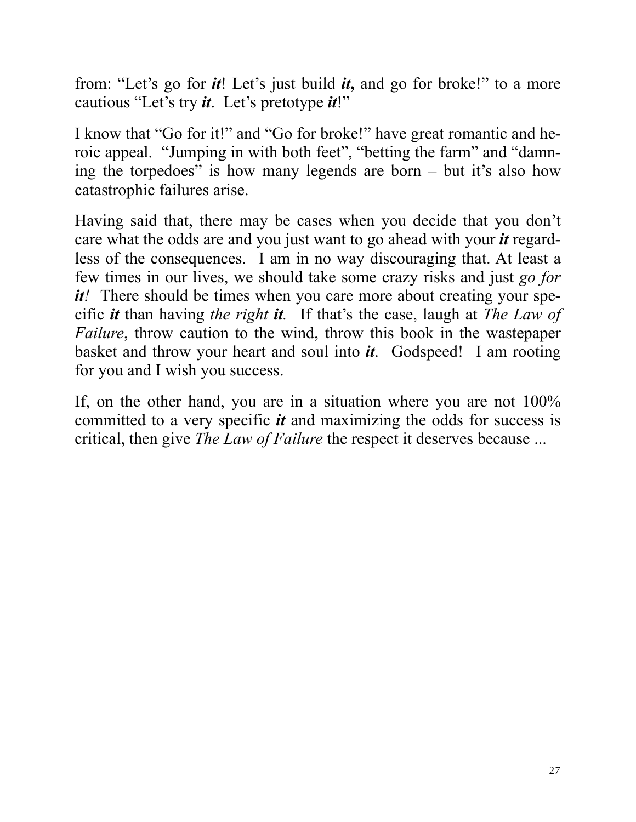from: "Let's go for *it*! Let's just build *it***,** and go for broke!" to a more cautious "Let's try *it*. Let's pretotype *it*!"

I know that "Go for it!" and "Go for broke!" have great romantic and heroic appeal. "Jumping in with both feet", "betting the farm" and "damning the torpedoes" is how many legends are born – but it's also how catastrophic failures arise.

Having said that, there may be cases when you decide that you don't care what the odds are and you just want to go ahead with your *it* regardless of the consequences. I am in no way discouraging that. At least a few times in our lives, we should take some crazy risks and just *go for it!* There should be times when you care more about creating your specific *it* than having *the right it.* If that's the case, laugh at *The Law of Failure*, throw caution to the wind, throw this book in the wastepaper basket and throw your heart and soul into *it*. Godspeed! I am rooting for you and I wish you success.

If, on the other hand, you are in a situation where you are not 100% committed to a very specific *it* and maximizing the odds for success is critical, then give *The Law of Failure* the respect it deserves because ...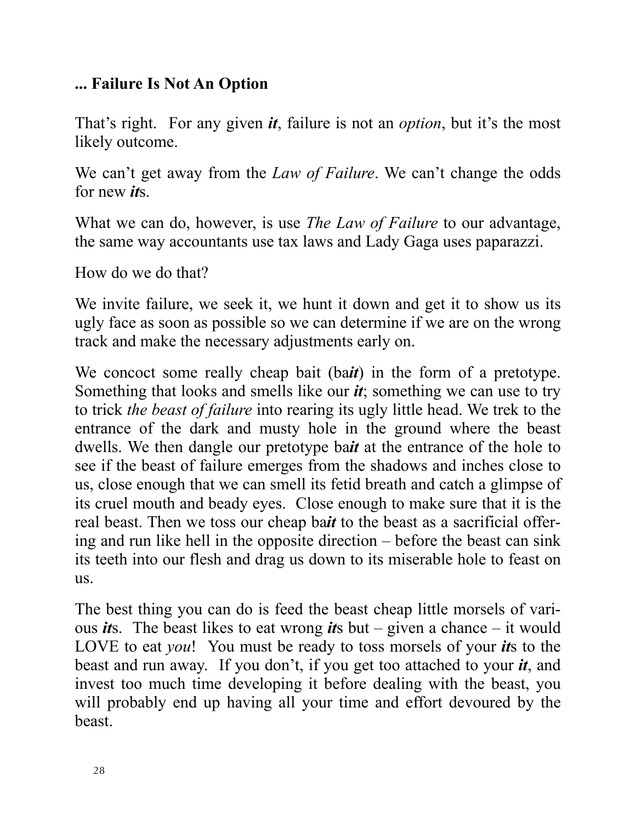#### **... Failure Is Not An Option**

That's right. For any given *it*, failure is not an *option*, but it's the most likely outcome.

We can't get away from the *Law of Failure*. We can't change the odds for new *it*s.

What we can do, however, is use *The Law of Failure* to our advantage, the same way accountants use tax laws and Lady Gaga uses paparazzi.

How do we do that?

We invite failure, we seek it, we hunt it down and get it to show us its ugly face as soon as possible so we can determine if we are on the wrong track and make the necessary adjustments early on.

We concoct some really cheap bait (ba*it*) in the form of a pretotype. Something that looks and smells like our *it*; something we can use to try to trick *the beast of failure* into rearing its ugly little head. We trek to the entrance of the dark and musty hole in the ground where the beast dwells. We then dangle our pretotype ba*it* at the entrance of the hole to see if the beast of failure emerges from the shadows and inches close to us, close enough that we can smell its fetid breath and catch a glimpse of its cruel mouth and beady eyes. Close enough to make sure that it is the real beast. Then we toss our cheap ba*it* to the beast as a sacrificial offering and run like hell in the opposite direction – before the beast can sink its teeth into our flesh and drag us down to its miserable hole to feast on us.

The best thing you can do is feed the beast cheap little morsels of various *it*s. The beast likes to eat wrong *it*s but – given a chance – it would LOVE to eat *you*! You must be ready to toss morsels of your *it*s to the beast and run away. If you don't, if you get too attached to your *it*, and invest too much time developing it before dealing with the beast, you will probably end up having all your time and effort devoured by the beast.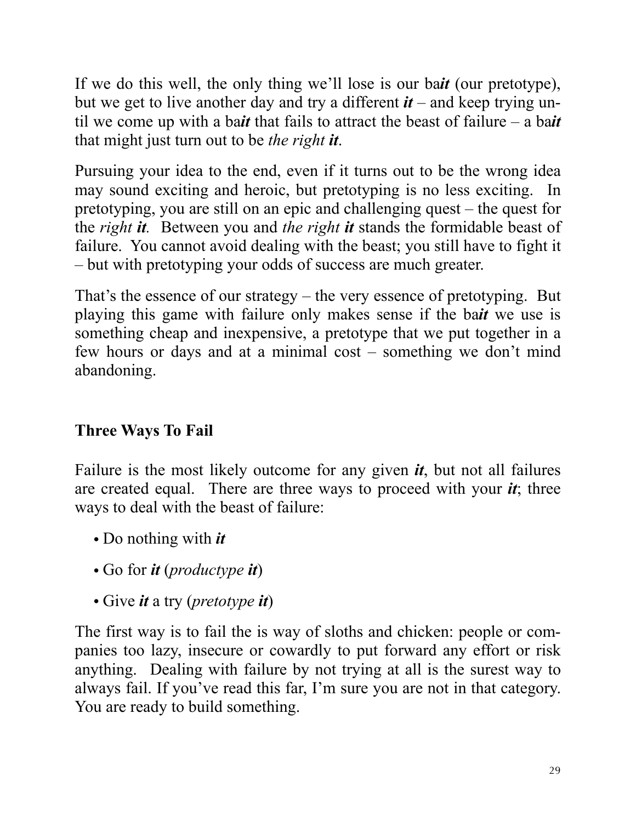If we do this well, the only thing we'll lose is our ba*it* (our pretotype), but we get to live another day and try a different *it* – and keep trying until we come up with a ba*it* that fails to attract the beast of failure – a ba*it*  that might just turn out to be *the right it*.

Pursuing your idea to the end, even if it turns out to be the wrong idea may sound exciting and heroic, but pretotyping is no less exciting. In pretotyping, you are still on an epic and challenging quest – the quest for the *right it.* Between you and *the right it* stands the formidable beast of failure. You cannot avoid dealing with the beast; you still have to fight it – but with pretotyping your odds of success are much greater.

That's the essence of our strategy – the very essence of pretotyping. But playing this game with failure only makes sense if the ba*it* we use is something cheap and inexpensive, a pretotype that we put together in a few hours or days and at a minimal cost – something we don't mind abandoning.

#### **Three Ways To Fail**

Failure is the most likely outcome for any given *it*, but not all failures are created equal. There are three ways to proceed with your *it*; three ways to deal with the beast of failure:

- Do nothing with *it*
- Go for *it* (*productype it*)
- Give *it* a try (*pretotype it*)

The first way is to fail the is way of sloths and chicken: people or companies too lazy, insecure or cowardly to put forward any effort or risk anything. Dealing with failure by not trying at all is the surest way to always fail. If you've read this far, I'm sure you are not in that category. You are ready to build something.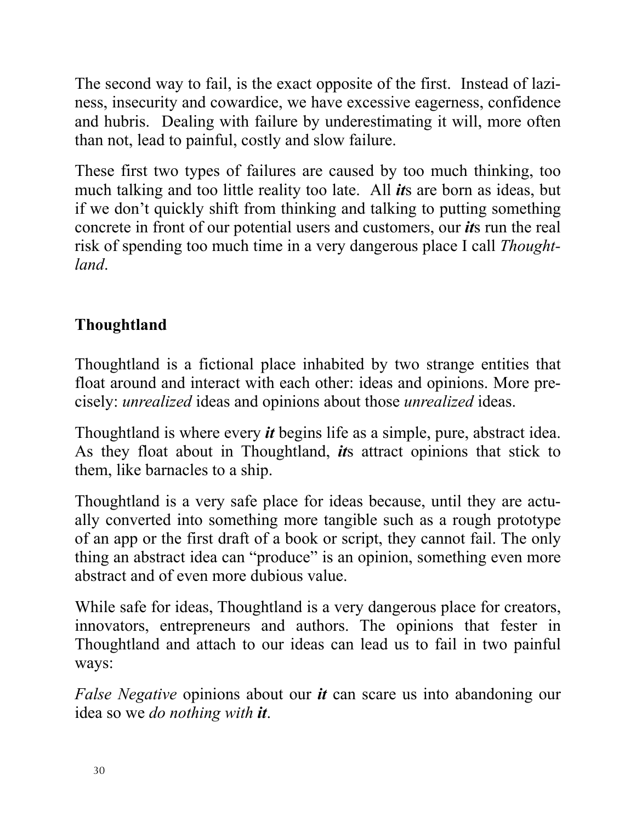The second way to fail, is the exact opposite of the first. Instead of laziness, insecurity and cowardice, we have excessive eagerness, confidence and hubris. Dealing with failure by underestimating it will, more often than not, lead to painful, costly and slow failure.

These first two types of failures are caused by too much thinking, too much talking and too little reality too late. All *it*s are born as ideas, but if we don't quickly shift from thinking and talking to putting something concrete in front of our potential users and customers, our *it*s run the real risk of spending too much time in a very dangerous place I call *Thoughtland*.

#### **Thoughtland**

Thoughtland is a fictional place inhabited by two strange entities that float around and interact with each other: ideas and opinions. More precisely: *unrealized* ideas and opinions about those *unrealized* ideas.

Thoughtland is where every *it* begins life as a simple, pure, abstract idea. As they float about in Thoughtland, *it*s attract opinions that stick to them, like barnacles to a ship.

Thoughtland is a very safe place for ideas because, until they are actually converted into something more tangible such as a rough prototype of an app or the first draft of a book or script, they cannot fail. The only thing an abstract idea can "produce" is an opinion, something even more abstract and of even more dubious value.

While safe for ideas, Thoughtland is a very dangerous place for creators, innovators, entrepreneurs and authors. The opinions that fester in Thoughtland and attach to our ideas can lead us to fail in two painful ways:

*False Negative* opinions about our *it* can scare us into abandoning our idea so we *do nothing with it*.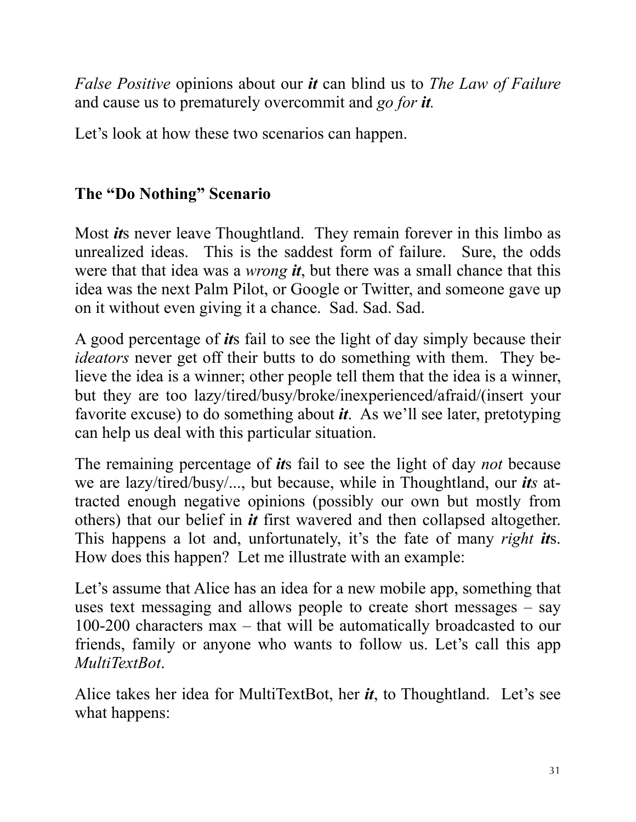*False Positive* opinions about our *it* can blind us to *The Law of Failure*  and cause us to prematurely overcommit and *go for it.*

Let's look at how these two scenarios can happen.

#### **The "Do Nothing" Scenario**

Most *it*s never leave Thoughtland. They remain forever in this limbo as unrealized ideas. This is the saddest form of failure. Sure, the odds were that that idea was a *wrong it*, but there was a small chance that this idea was the next Palm Pilot, or Google or Twitter, and someone gave up on it without even giving it a chance. Sad. Sad. Sad.

A good percentage of *it*s fail to see the light of day simply because their *ideators* never get off their butts to do something with them. They believe the idea is a winner; other people tell them that the idea is a winner, but they are too lazy/tired/busy/broke/inexperienced/afraid/(insert your favorite excuse) to do something about *it*. As we'll see later, pretotyping can help us deal with this particular situation.

The remaining percentage of *it*s fail to see the light of day *not* because we are lazy/tired/busy/..., but because, while in Thoughtland, our *its* attracted enough negative opinions (possibly our own but mostly from others) that our belief in *it* first wavered and then collapsed altogether. This happens a lot and, unfortunately, it's the fate of many *right it*s. How does this happen? Let me illustrate with an example:

Let's assume that Alice has an idea for a new mobile app, something that uses text messaging and allows people to create short messages – say 100-200 characters max – that will be automatically broadcasted to our friends, family or anyone who wants to follow us. Let's call this app *MultiTextBot*.

Alice takes her idea for MultiTextBot, her *it*, to Thoughtland. Let's see what happens: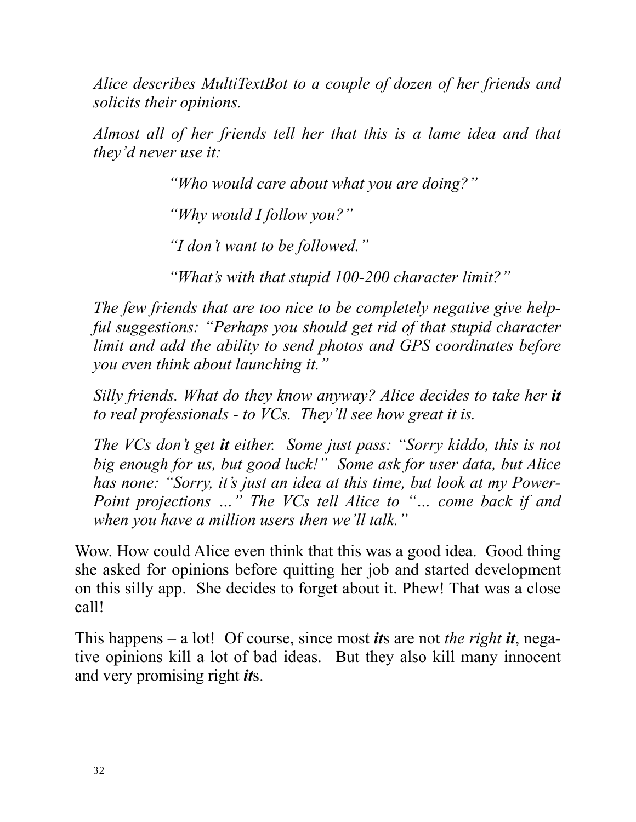*Alice describes MultiTextBot to a couple of dozen of her friends and solicits their opinions.*

*Almost all of her friends tell her that this is a lame idea and that they'd never use it:*

*"Who would care about what you are doing?"*

*"Why would I follow you?"*

*"I don't want to be followed."*

*"What's with that stupid 100-200 character limit?"*

*The few friends that are too nice to be completely negative give helpful suggestions: "Perhaps you should get rid of that stupid character limit and add the ability to send photos and GPS coordinates before you even think about launching it."*

*Silly friends. What do they know anyway? Alice decides to take her it to real professionals - to VCs. They'll see how great it is.*

*The VCs don't get it either. Some just pass: "Sorry kiddo, this is not big enough for us, but good luck!" Some ask for user data, but Alice has none: "Sorry, it's just an idea at this time, but look at my Power-Point projections …" The VCs tell Alice to "… come back if and when you have a million users then we'll talk."* 

Wow. How could Alice even think that this was a good idea. Good thing she asked for opinions before quitting her job and started development on this silly app. She decides to forget about it. Phew! That was a close call!

This happens – a lot! Of course, since most *it*s are not *the right it*, negative opinions kill a lot of bad ideas. But they also kill many innocent and very promising right *it*s.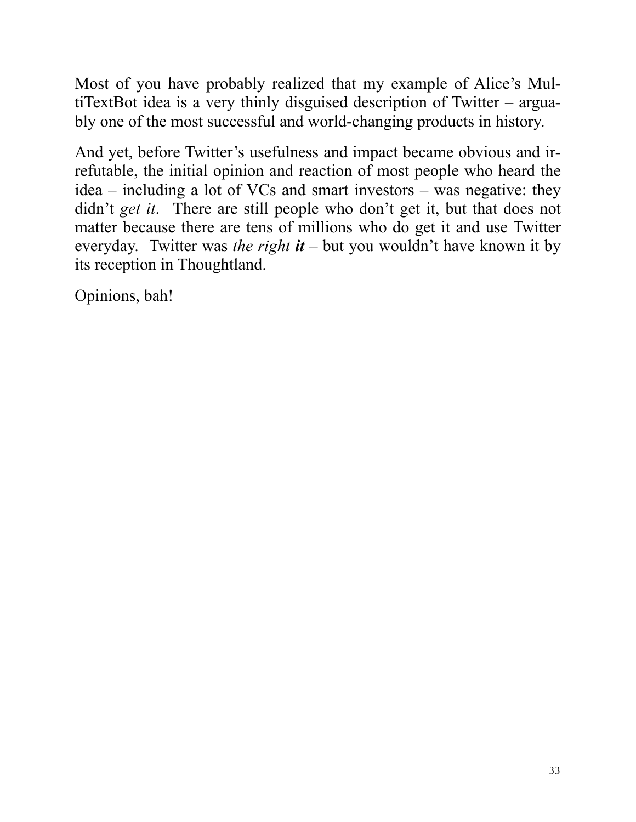Most of you have probably realized that my example of Alice's MultiTextBot idea is a very thinly disguised description of Twitter – arguably one of the most successful and world-changing products in history.

And yet, before Twitter's usefulness and impact became obvious and irrefutable, the initial opinion and reaction of most people who heard the idea – including a lot of VCs and smart investors – was negative: they didn't *get it*. There are still people who don't get it, but that does not matter because there are tens of millions who do get it and use Twitter everyday. Twitter was *the right it* – but you wouldn't have known it by its reception in Thoughtland.

Opinions, bah!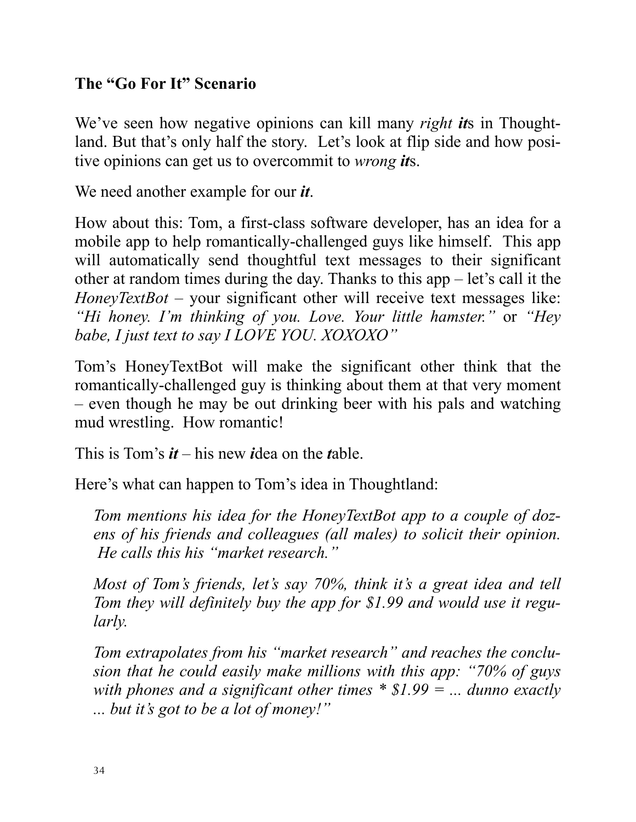#### **The "Go For It" Scenario**

We've seen how negative opinions can kill many *right it*s in Thoughtland. But that's only half the story. Let's look at flip side and how positive opinions can get us to overcommit to *wrong it*s.

We need another example for our *it*.

How about this: Tom, a first-class software developer, has an idea for a mobile app to help romantically-challenged guys like himself. This app will automatically send thoughtful text messages to their significant other at random times during the day. Thanks to this app – let's call it the *HoneyTextBot* – your significant other will receive text messages like: *"Hi honey. I'm thinking of you. Love. Your little hamster."* or *"Hey babe, I just text to say I LOVE YOU. XOXOXO"*

Tom's HoneyTextBot will make the significant other think that the romantically-challenged guy is thinking about them at that very moment – even though he may be out drinking beer with his pals and watching mud wrestling. How romantic!

This is Tom's *it* – his new *i*dea on the *t*able.

Here's what can happen to Tom's idea in Thoughtland:

*Tom mentions his idea for the HoneyTextBot app to a couple of dozens of his friends and colleagues (all males) to solicit their opinion. He calls this his "market research."*

*Most of Tom's friends, let's say 70%, think it's a great idea and tell Tom they will definitely buy the app for \$1.99 and would use it regularly.*

*Tom extrapolates from his "market research" and reaches the conclusion that he could easily make millions with this app: "70% of guys with phones and a significant other times \* \$1.99 = ... dunno exactly ... but it's got to be a lot of money!"*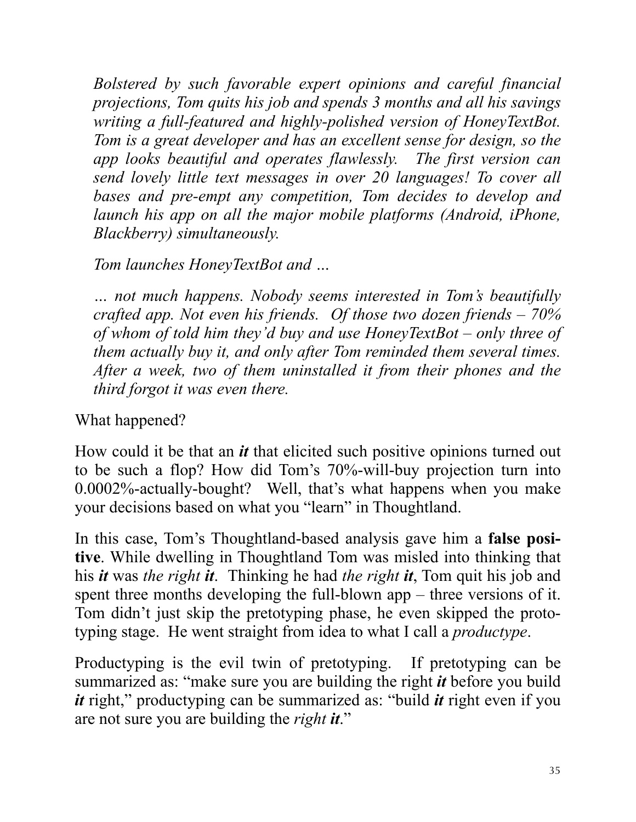*Bolstered by such favorable expert opinions and careful financial projections, Tom quits his job and spends 3 months and all his savings writing a full-featured and highly-polished version of HoneyTextBot. Tom is a great developer and has an excellent sense for design, so the app looks beautiful and operates flawlessly. The first version can send lovely little text messages in over 20 languages! To cover all bases and pre-empt any competition, Tom decides to develop and*  launch his app on all the major mobile platforms (Android, iPhone, *Blackberry) simultaneously.*

#### *Tom launches HoneyTextBot and …*

*… not much happens. Nobody seems interested in Tom's beautifully crafted app. Not even his friends. Of those two dozen friends – 70% of whom of told him they'd buy and use HoneyTextBot – only three of them actually buy it, and only after Tom reminded them several times. After a week, two of them uninstalled it from their phones and the third forgot it was even there.*

What happened?

How could it be that an *it* that elicited such positive opinions turned out to be such a flop? How did Tom's 70%-will-buy projection turn into 0.0002%-actually-bought? Well, that's what happens when you make your decisions based on what you "learn" in Thoughtland.

In this case, Tom's Thoughtland-based analysis gave him a **false positive**. While dwelling in Thoughtland Tom was misled into thinking that his *it* was *the right it*. Thinking he had *the right it*, Tom quit his job and spent three months developing the full-blown app – three versions of it. Tom didn't just skip the pretotyping phase, he even skipped the prototyping stage. He went straight from idea to what I call a *productype*.

Productyping is the evil twin of pretotyping. If pretotyping can be summarized as: "make sure you are building the right *it* before you build *it* right," productyping can be summarized as: "build *it* right even if you are not sure you are building the *right it*."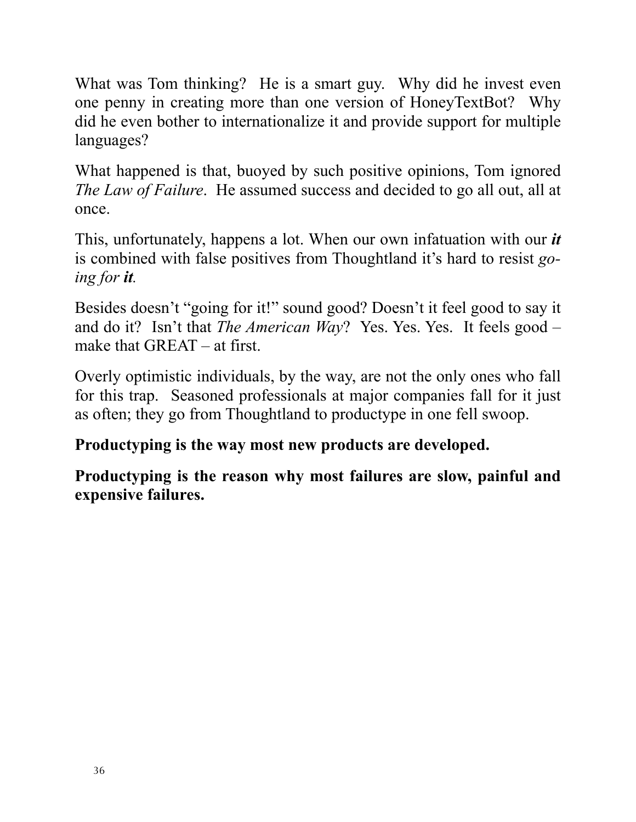What was Tom thinking? He is a smart guy. Why did he invest even one penny in creating more than one version of HoneyTextBot? Why did he even bother to internationalize it and provide support for multiple languages?

What happened is that, buoyed by such positive opinions, Tom ignored *The Law of Failure*. He assumed success and decided to go all out, all at once.

This, unfortunately, happens a lot. When our own infatuation with our *it* is combined with false positives from Thoughtland it's hard to resist *going for it.*

Besides doesn't "going for it!" sound good? Doesn't it feel good to say it and do it? Isn't that *The American Way*? Yes. Yes. Yes. It feels good – make that GREAT – at first.

Overly optimistic individuals, by the way, are not the only ones who fall for this trap. Seasoned professionals at major companies fall for it just as often; they go from Thoughtland to productype in one fell swoop.

#### **Productyping is the way most new products are developed.**

**Productyping is the reason why most failures are slow, painful and expensive failures.**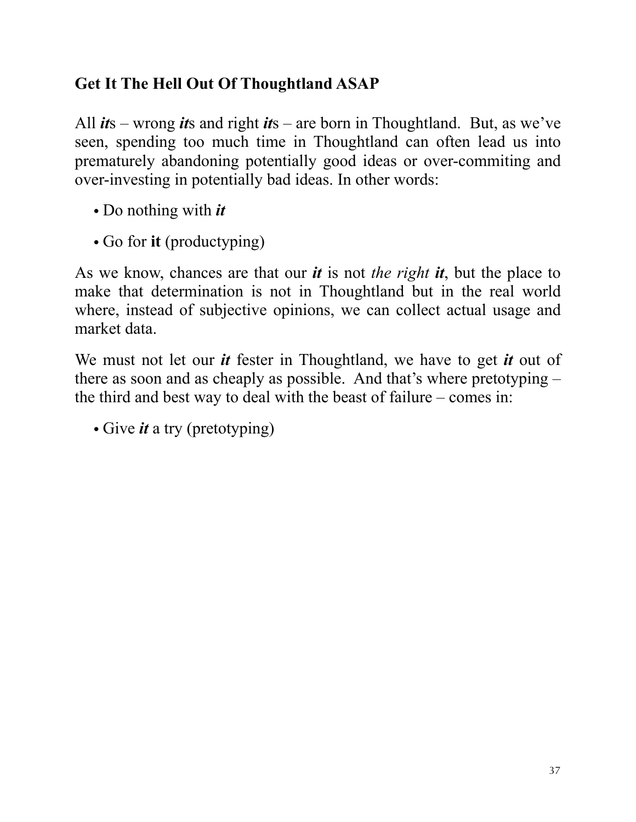#### **Get It The Hell Out Of Thoughtland ASAP**

All *it*s – wrong *it*s and right *it*s – are born in Thoughtland. But, as we've seen, spending too much time in Thoughtland can often lead us into prematurely abandoning potentially good ideas or over-commiting and over-investing in potentially bad ideas. In other words:

- Do nothing with *it*
- Go for **it** (productyping)

As we know, chances are that our *it* is not *the right it*, but the place to make that determination is not in Thoughtland but in the real world where, instead of subjective opinions, we can collect actual usage and market data.

We must not let our *it* fester in Thoughtland, we have to get *it* out of there as soon and as cheaply as possible. And that's where pretotyping – the third and best way to deal with the beast of failure – comes in:

• Give *it* a try (pretotyping)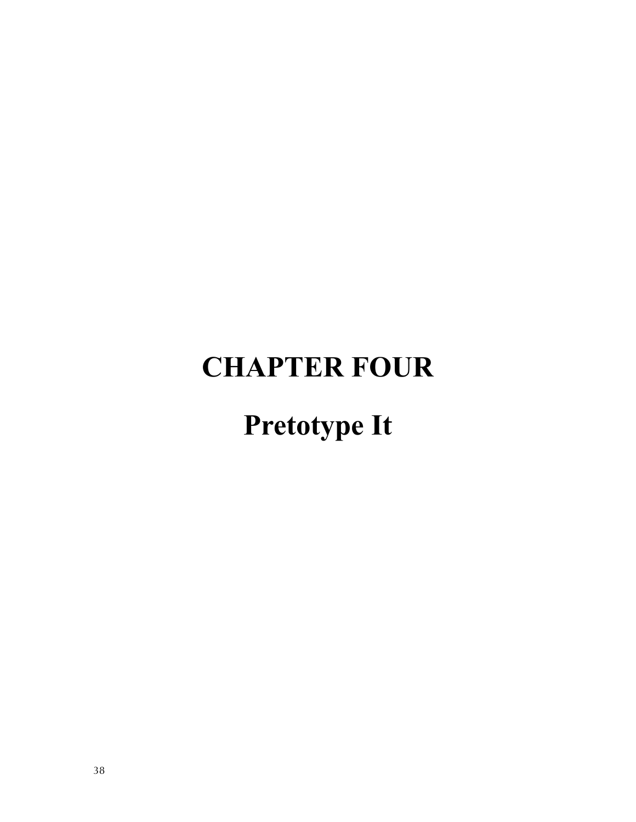### **CHAPTER FOUR**

### **Pretotype It**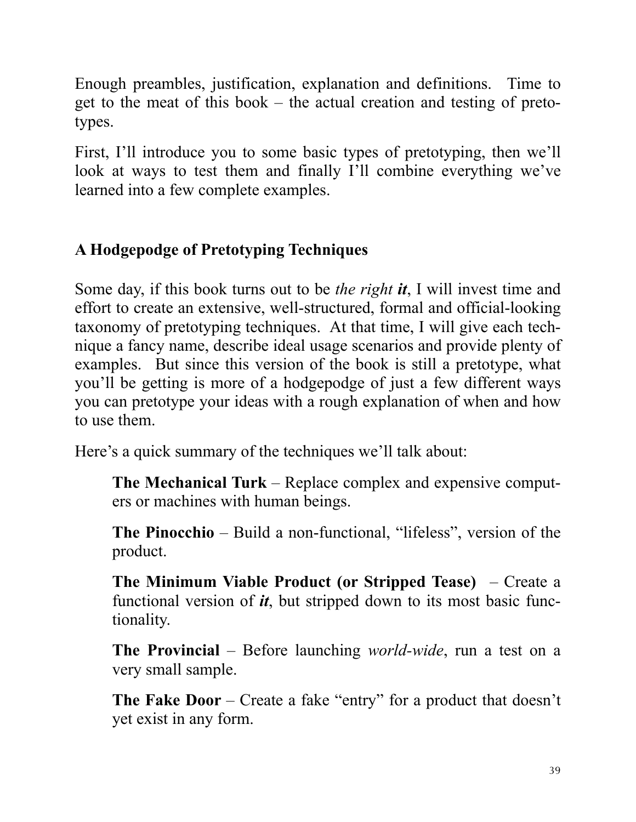Enough preambles, justification, explanation and definitions. Time to get to the meat of this book – the actual creation and testing of pretotypes.

First, I'll introduce you to some basic types of pretotyping, then we'll look at ways to test them and finally I'll combine everything we've learned into a few complete examples.

#### **A Hodgepodge of Pretotyping Techniques**

Some day, if this book turns out to be *the right it*, I will invest time and effort to create an extensive, well-structured, formal and official-looking taxonomy of pretotyping techniques. At that time, I will give each technique a fancy name, describe ideal usage scenarios and provide plenty of examples. But since this version of the book is still a pretotype, what you'll be getting is more of a hodgepodge of just a few different ways you can pretotype your ideas with a rough explanation of when and how to use them.

Here's a quick summary of the techniques we'll talk about:

**The Mechanical Turk** – Replace complex and expensive computers or machines with human beings.

**The Pinocchio** – Build a non-functional, "lifeless", version of the product.

**The Minimum Viable Product (or Stripped Tease)** – Create a functional version of *it*, but stripped down to its most basic functionality.

**The Provincial** – Before launching *world-wide*, run a test on a very small sample.

**The Fake Door** – Create a fake "entry" for a product that doesn't yet exist in any form.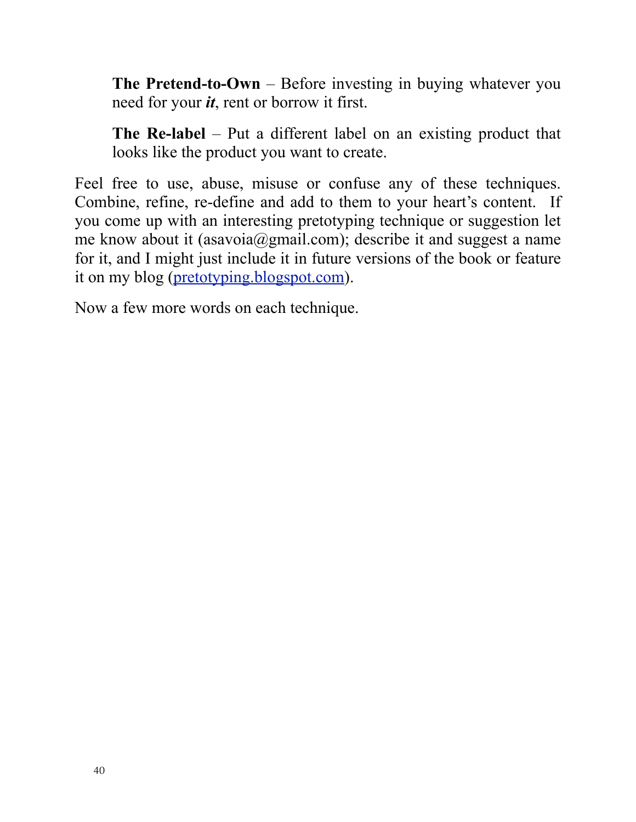**The Pretend-to-Own** – Before investing in buying whatever you need for your *it*, rent or borrow it first.

**The Re-label** – Put a different label on an existing product that looks like the product you want to create.

Feel free to use, abuse, misuse or confuse any of these techniques. Combine, refine, re-define and add to them to your heart's content. If you come up with an interesting pretotyping technique or suggestion let me know about it (asavoia@gmail.com); describe it and suggest a name for it, and I might just include it in future versions of the book or feature it on my blog [\(pretotyping.blogspot.com\)](http://pretotyping.blogspot.com).

Now a few more words on each technique.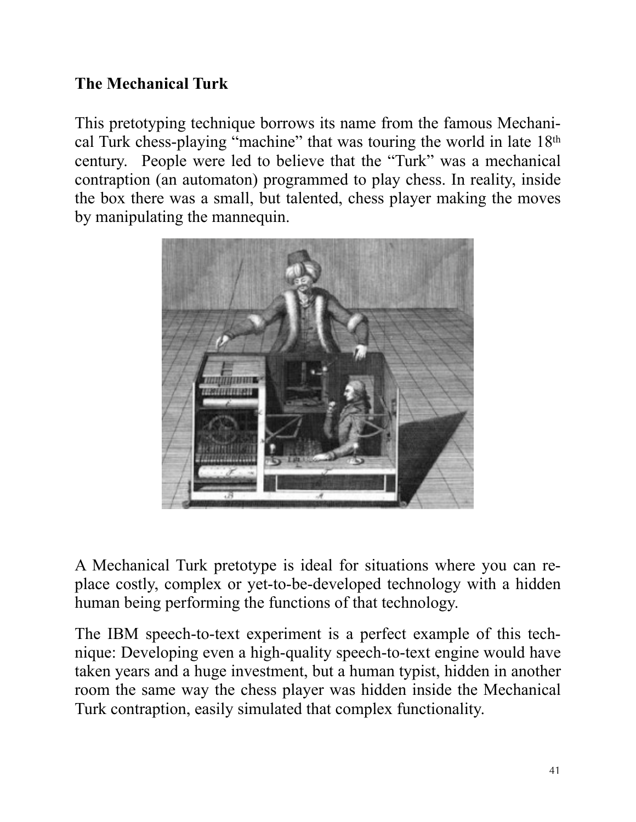#### **The Mechanical Turk**

This pretotyping technique borrows its name from the famous Mechanical Turk chess-playing "machine" that was touring the world in late 18th century. People were led to believe that the "Turk" was a mechanical contraption (an automaton) programmed to play chess. In reality, inside the box there was a small, but talented, chess player making the moves by manipulating the mannequin.



A Mechanical Turk pretotype is ideal for situations where you can replace costly, complex or yet-to-be-developed technology with a hidden human being performing the functions of that technology.

The IBM speech-to-text experiment is a perfect example of this technique: Developing even a high-quality speech-to-text engine would have taken years and a huge investment, but a human typist, hidden in another room the same way the chess player was hidden inside the Mechanical Turk contraption, easily simulated that complex functionality.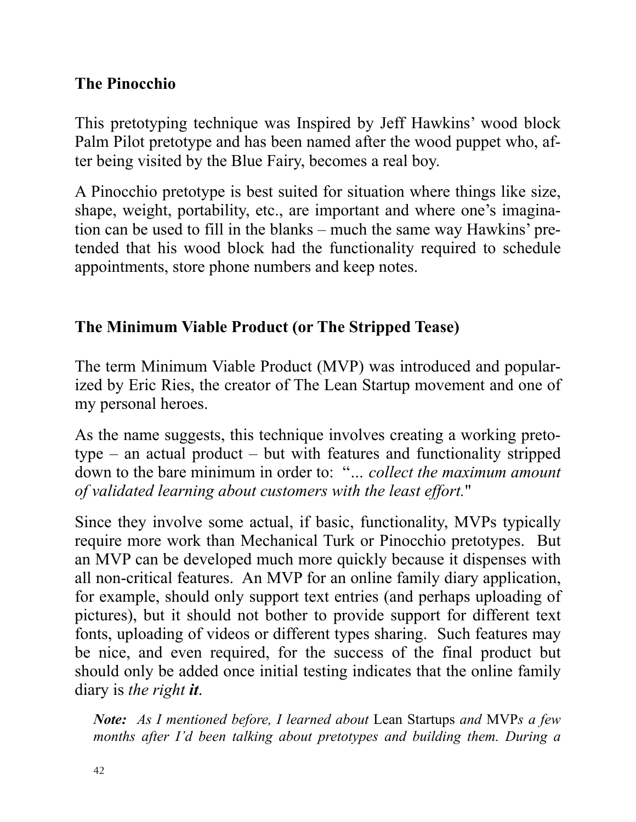#### **The Pinocchio**

This pretotyping technique was Inspired by Jeff Hawkins' wood block Palm Pilot pretotype and has been named after the wood puppet who, after being visited by the Blue Fairy, becomes a real boy.

A Pinocchio pretotype is best suited for situation where things like size, shape, weight, portability, etc., are important and where one's imagination can be used to fill in the blanks – much the same way Hawkins' pretended that his wood block had the functionality required to schedule appointments, store phone numbers and keep notes.

#### **The Minimum Viable Product (or The Stripped Tease)**

The term Minimum Viable Product (MVP) was introduced and popularized by Eric Ries, the creator of The Lean Startup movement and one of my personal heroes.

As the name suggests, this technique involves creating a working pretotype – an actual product – but with features and functionality stripped down to the bare minimum in order to: "*… collect the maximum amount of validated learning about customers with the least effort.*"

Since they involve some actual, if basic, functionality, MVPs typically require more work than Mechanical Turk or Pinocchio pretotypes. But an MVP can be developed much more quickly because it dispenses with all non-critical features. An MVP for an online family diary application, for example, should only support text entries (and perhaps uploading of pictures), but it should not bother to provide support for different text fonts, uploading of videos or different types sharing. Such features may be nice, and even required, for the success of the final product but should only be added once initial testing indicates that the online family diary is *the right it*.

*Note: As I mentioned before, I learned about* Lean Startups *and* MVP*s a few months after I'd been talking about pretotypes and building them. During a*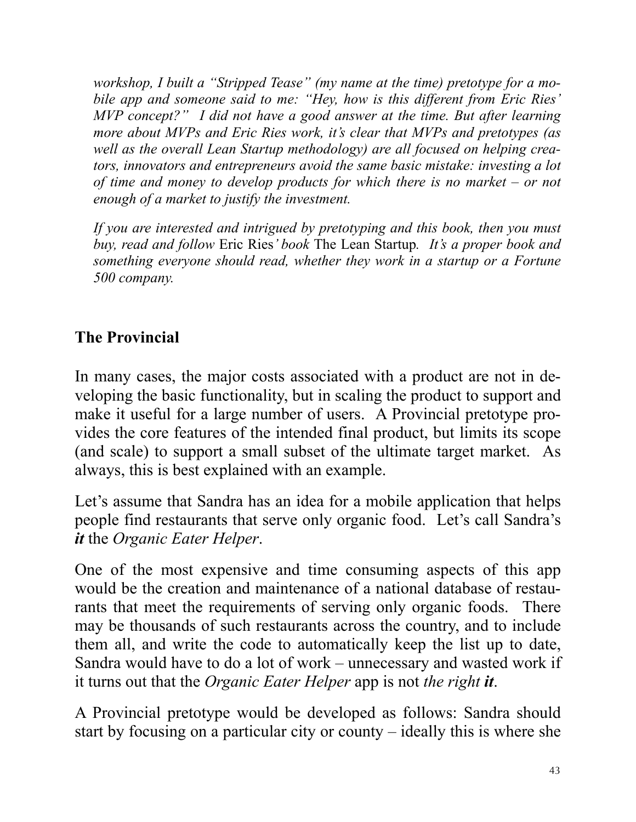*workshop, I built a "Stripped Tease" (my name at the time) pretotype for a mobile app and someone said to me: "Hey, how is this different from Eric Ries' MVP concept?" I did not have a good answer at the time. But after learning more about MVPs and Eric Ries work, it's clear that MVPs and pretotypes (as well as the overall Lean Startup methodology) are all focused on helping creators, innovators and entrepreneurs avoid the same basic mistake: investing a lot of time and money to develop products for which there is no market – or not enough of a market to justify the investment.*

*If you are interested and intrigued by pretotyping and this book, then you must buy, read and follow* Eric Ries*' book* The Lean Startup*. It's a proper book and something everyone should read, whether they work in a startup or a Fortune 500 company.*

#### **The Provincial**

In many cases, the major costs associated with a product are not in developing the basic functionality, but in scaling the product to support and make it useful for a large number of users. A Provincial pretotype provides the core features of the intended final product, but limits its scope (and scale) to support a small subset of the ultimate target market. As always, this is best explained with an example.

Let's assume that Sandra has an idea for a mobile application that helps people find restaurants that serve only organic food. Let's call Sandra's *it* the *Organic Eater Helper*.

One of the most expensive and time consuming aspects of this app would be the creation and maintenance of a national database of restaurants that meet the requirements of serving only organic foods. There may be thousands of such restaurants across the country, and to include them all, and write the code to automatically keep the list up to date, Sandra would have to do a lot of work – unnecessary and wasted work if it turns out that the *Organic Eater Helper* app is not *the right it*.

A Provincial pretotype would be developed as follows: Sandra should start by focusing on a particular city or county – ideally this is where she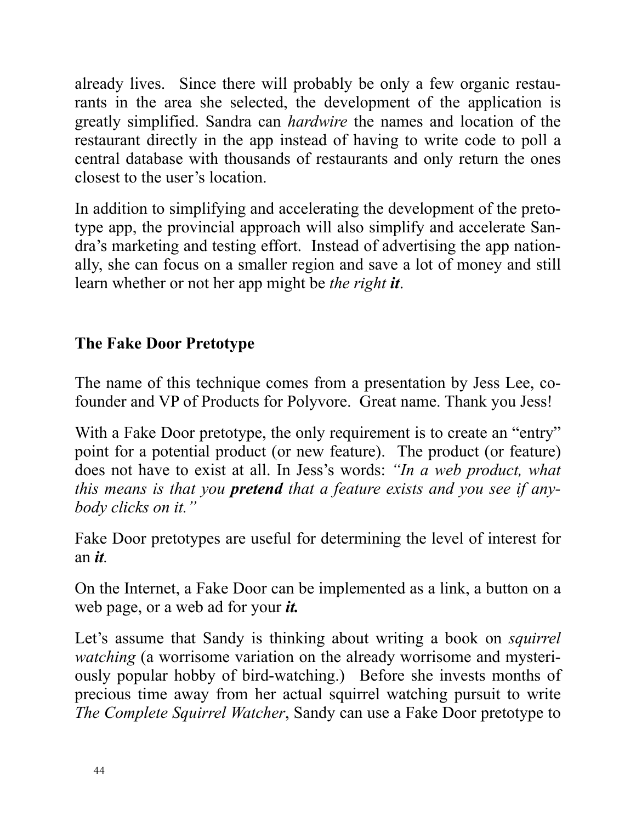already lives. Since there will probably be only a few organic restaurants in the area she selected, the development of the application is greatly simplified. Sandra can *hardwire* the names and location of the restaurant directly in the app instead of having to write code to poll a central database with thousands of restaurants and only return the ones closest to the user's location.

In addition to simplifying and accelerating the development of the pretotype app, the provincial approach will also simplify and accelerate Sandra's marketing and testing effort. Instead of advertising the app nationally, she can focus on a smaller region and save a lot of money and still learn whether or not her app might be *the right it*.

#### **The Fake Door Pretotype**

The name of this technique comes from a presentation by Jess Lee, cofounder and VP of Products for Polyvore. Great name. Thank you Jess!

With a Fake Door pretotype, the only requirement is to create an "entry" point for a potential product (or new feature). The product (or feature) does not have to exist at all. In Jess's words: *"In a web product, what this means is that you pretend that a feature exists and you see if anybody clicks on it."* 

Fake Door pretotypes are useful for determining the level of interest for an *it.*

On the Internet, a Fake Door can be implemented as a link, a button on a web page, or a web ad for your *it.*

Let's assume that Sandy is thinking about writing a book on *squirrel watching* (a worrisome variation on the already worrisome and mysteriously popular hobby of bird-watching.) Before she invests months of precious time away from her actual squirrel watching pursuit to write *The Complete Squirrel Watcher*, Sandy can use a Fake Door pretotype to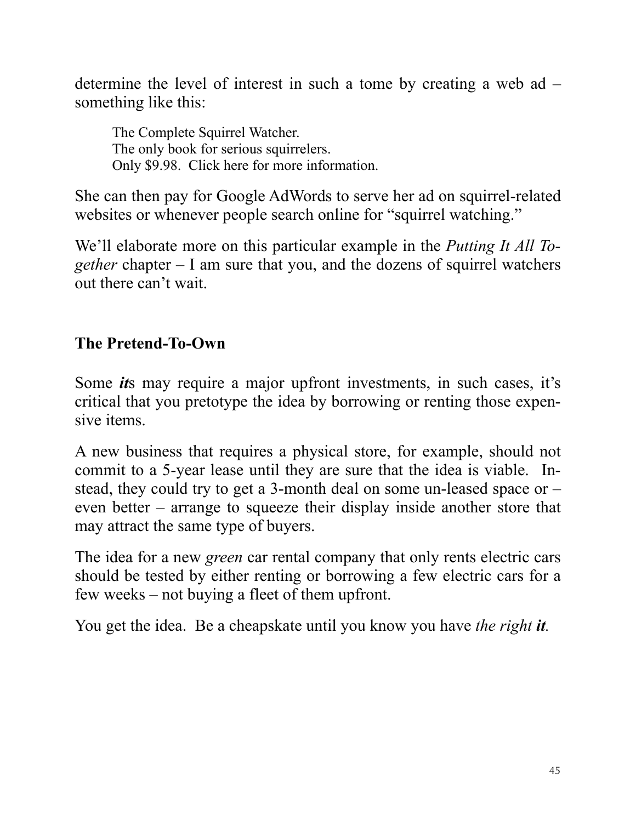determine the level of interest in such a tome by creating a web ad – something like this:

The Complete Squirrel Watcher. The only book for serious squirrelers. Only \$9.98. Click here for more information.

She can then pay for Google AdWords to serve her ad on squirrel-related websites or whenever people search online for "squirrel watching."

We'll elaborate more on this particular example in the *Putting It All Together* chapter – I am sure that you, and the dozens of squirrel watchers out there can't wait.

#### **The Pretend-To-Own**

Some *it*s may require a major upfront investments, in such cases, it's critical that you pretotype the idea by borrowing or renting those expensive items.

A new business that requires a physical store, for example, should not commit to a 5-year lease until they are sure that the idea is viable. Instead, they could try to get a 3-month deal on some un-leased space or – even better – arrange to squeeze their display inside another store that may attract the same type of buyers.

The idea for a new *green* car rental company that only rents electric cars should be tested by either renting or borrowing a few electric cars for a few weeks – not buying a fleet of them upfront.

You get the idea. Be a cheapskate until you know you have *the right it.*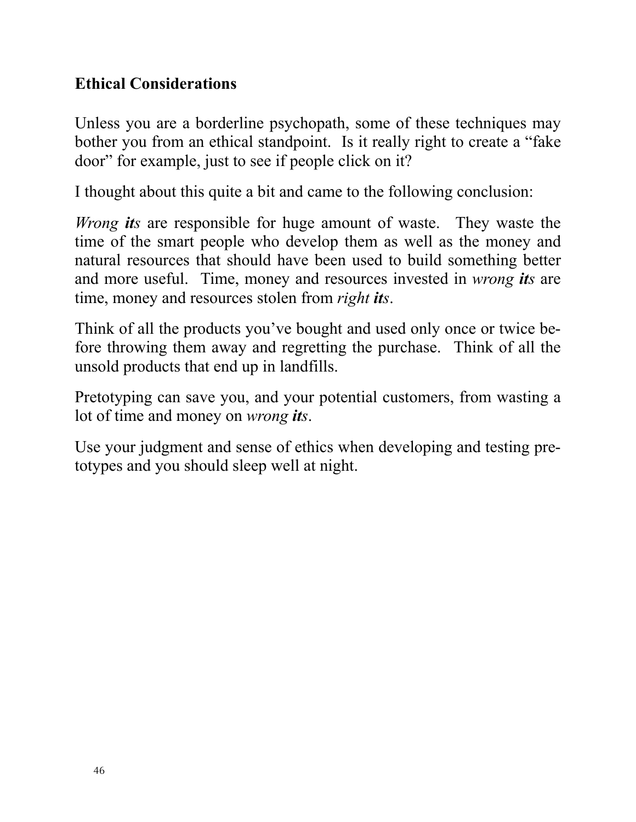#### **Ethical Considerations**

Unless you are a borderline psychopath, some of these techniques may bother you from an ethical standpoint. Is it really right to create a "fake door" for example, just to see if people click on it?

I thought about this quite a bit and came to the following conclusion:

*Wrong its* are responsible for huge amount of waste. They waste the time of the smart people who develop them as well as the money and natural resources that should have been used to build something better and more useful. Time, money and resources invested in *wrong its* are time, money and resources stolen from *right its*.

Think of all the products you've bought and used only once or twice before throwing them away and regretting the purchase. Think of all the unsold products that end up in landfills.

Pretotyping can save you, and your potential customers, from wasting a lot of time and money on *wrong its*.

Use your judgment and sense of ethics when developing and testing pretotypes and you should sleep well at night.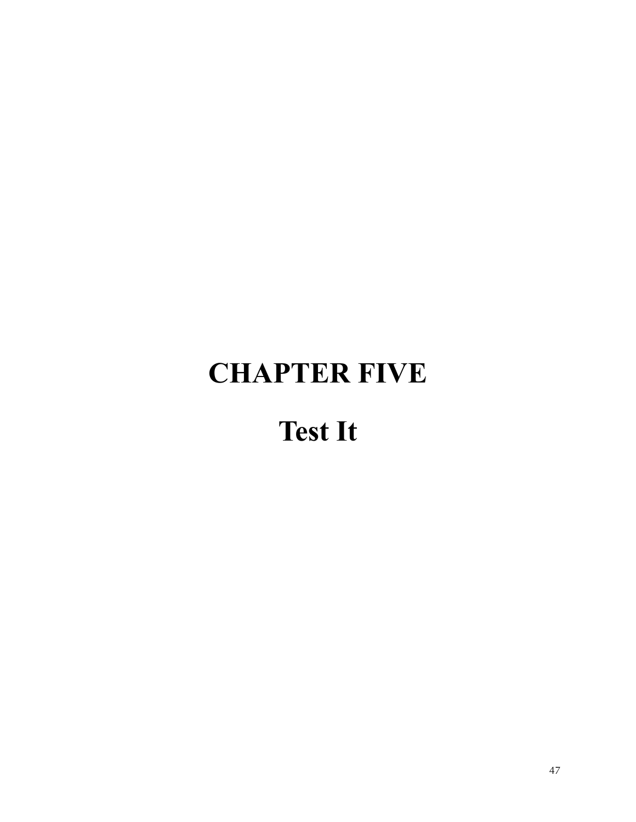### **CHAPTER FIVE**

### **Test It**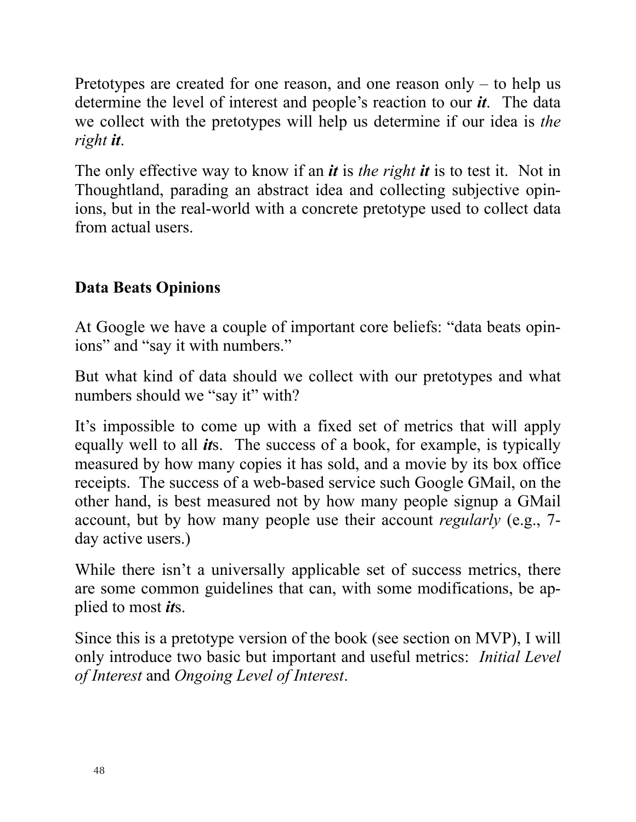Pretotypes are created for one reason, and one reason only – to help us determine the level of interest and people's reaction to our *it*. The data we collect with the pretotypes will help us determine if our idea is *the right it*.

The only effective way to know if an *it* is *the right it* is to test it. Not in Thoughtland, parading an abstract idea and collecting subjective opinions, but in the real-world with a concrete pretotype used to collect data from actual users.

#### **Data Beats Opinions**

At Google we have a couple of important core beliefs: "data beats opinions" and "say it with numbers."

But what kind of data should we collect with our pretotypes and what numbers should we "say it" with?

It's impossible to come up with a fixed set of metrics that will apply equally well to all *it*s. The success of a book, for example, is typically measured by how many copies it has sold, and a movie by its box office receipts. The success of a web-based service such Google GMail, on the other hand, is best measured not by how many people signup a GMail account, but by how many people use their account *regularly* (e.g., 7 day active users.)

While there isn't a universally applicable set of success metrics, there are some common guidelines that can, with some modifications, be applied to most *it*s.

Since this is a pretotype version of the book (see section on MVP), I will only introduce two basic but important and useful metrics: *Initial Level of Interest* and *Ongoing Level of Interest*.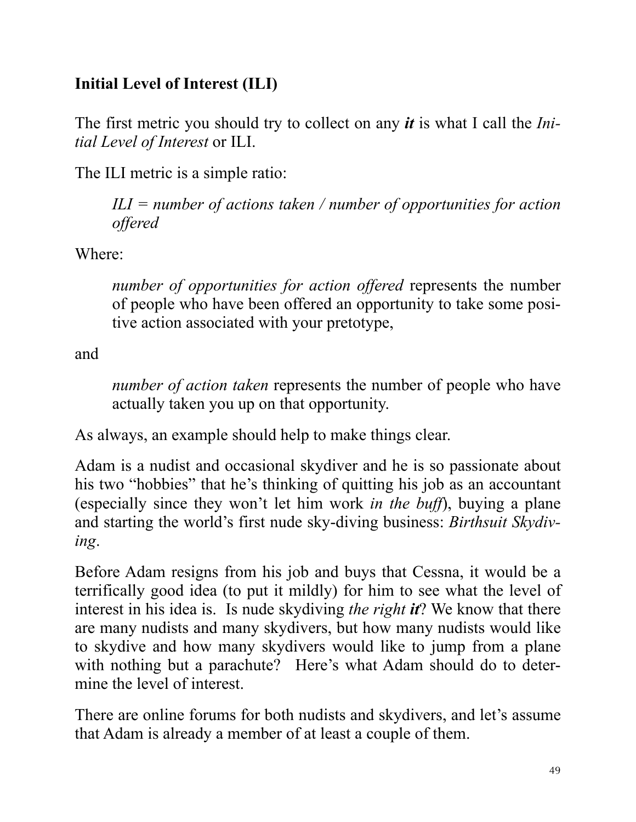#### **Initial Level of Interest (ILI)**

The first metric you should try to collect on any *it* is what I call the *Initial Level of Interest* or ILI.

The ILI metric is a simple ratio:

*ILI = number of actions taken / number of opportunities for action offered*

Where:

*number of opportunities for action offered* represents the number of people who have been offered an opportunity to take some positive action associated with your pretotype,

and

*number of action taken* represents the number of people who have actually taken you up on that opportunity.

As always, an example should help to make things clear.

Adam is a nudist and occasional skydiver and he is so passionate about his two "hobbies" that he's thinking of quitting his job as an accountant (especially since they won't let him work *in the buff*), buying a plane and starting the world's first nude sky-diving business: *Birthsuit Skydiving*.

Before Adam resigns from his job and buys that Cessna, it would be a terrifically good idea (to put it mildly) for him to see what the level of interest in his idea is. Is nude skydiving *the right it*? We know that there are many nudists and many skydivers, but how many nudists would like to skydive and how many skydivers would like to jump from a plane with nothing but a parachute? Here's what Adam should do to determine the level of interest.

There are online forums for both nudists and skydivers, and let's assume that Adam is already a member of at least a couple of them.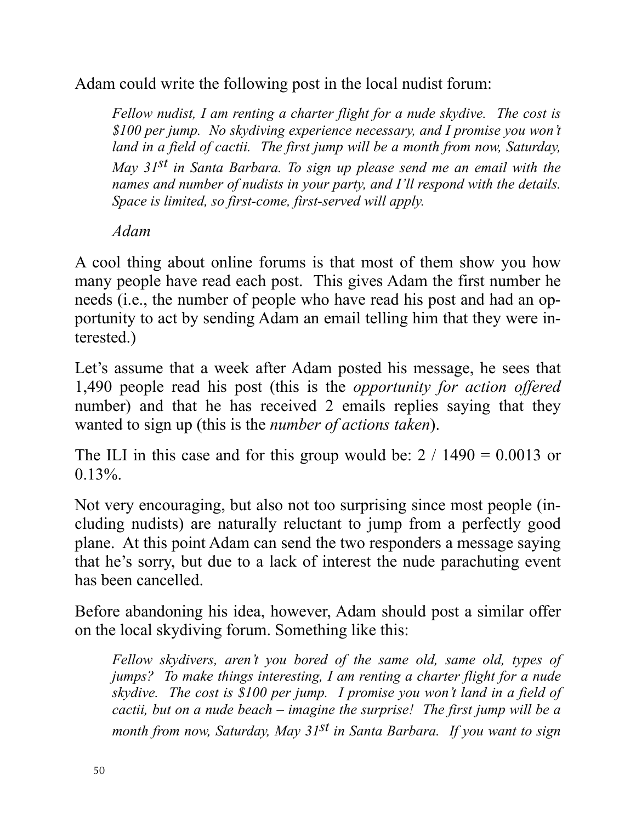Adam could write the following post in the local nudist forum:

*Fellow nudist, I am renting a charter flight for a nude skydive. The cost is \$100 per jump. No skydiving experience necessary, and I promise you won't*  land in a field of cactii. The first jump will be a month from now, Saturday, *May 31st in Santa Barbara. To sign up please send me an email with the names and number of nudists in your party, and I'll respond with the details. Space is limited, so first-come, first-served will apply.*

*Adam*

A cool thing about online forums is that most of them show you how many people have read each post. This gives Adam the first number he needs (i.e., the number of people who have read his post and had an opportunity to act by sending Adam an email telling him that they were interested.)

Let's assume that a week after Adam posted his message, he sees that 1,490 people read his post (this is the *opportunity for action offered* number) and that he has received 2 emails replies saying that they wanted to sign up (this is the *number of actions taken*).

The ILI in this case and for this group would be:  $2 / 1490 = 0.0013$  or  $0.13\%$ .

Not very encouraging, but also not too surprising since most people (including nudists) are naturally reluctant to jump from a perfectly good plane. At this point Adam can send the two responders a message saying that he's sorry, but due to a lack of interest the nude parachuting event has been cancelled.

Before abandoning his idea, however, Adam should post a similar offer on the local skydiving forum. Something like this:

*Fellow skydivers, aren't you bored of the same old, same old, types of jumps? To make things interesting, I am renting a charter flight for a nude skydive. The cost is \$100 per jump. I promise you won't land in a field of cactii, but on a nude beach – imagine the surprise! The first jump will be a month from now, Saturday, May 31st in Santa Barbara. If you want to sign*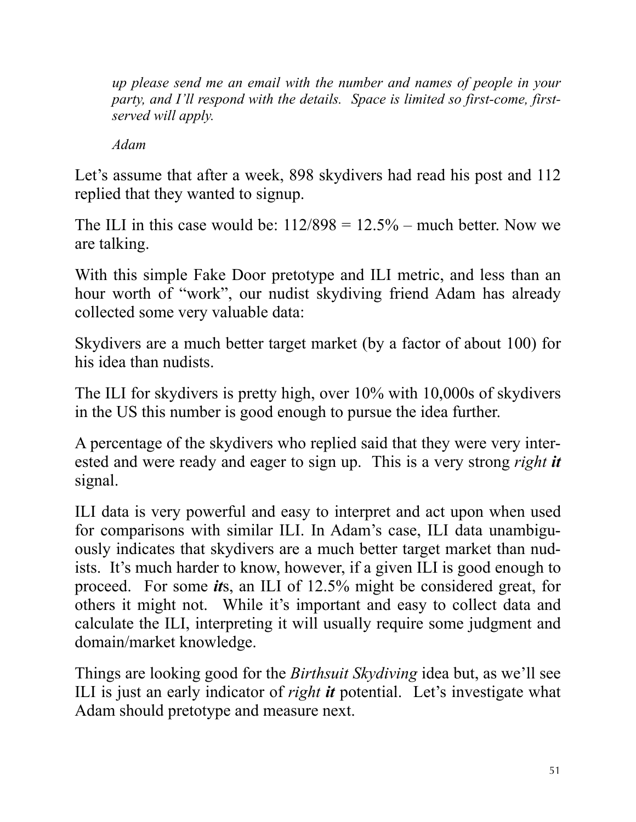*up please send me an email with the number and names of people in your party, and I'll respond with the details. Space is limited so first-come, firstserved will apply.*

*Adam*

Let's assume that after a week, 898 skydivers had read his post and 112 replied that they wanted to signup.

The ILI in this case would be:  $112/898 = 12.5%$  – much better. Now we are talking.

With this simple Fake Door pretotype and ILI metric, and less than an hour worth of "work", our nudist skydiving friend Adam has already collected some very valuable data:

Skydivers are a much better target market (by a factor of about 100) for his idea than nudists.

The ILI for skydivers is pretty high, over 10% with 10,000s of skydivers in the US this number is good enough to pursue the idea further.

A percentage of the skydivers who replied said that they were very interested and were ready and eager to sign up. This is a very strong *right it* signal.

ILI data is very powerful and easy to interpret and act upon when used for comparisons with similar ILI. In Adam's case, ILI data unambiguously indicates that skydivers are a much better target market than nudists. It's much harder to know, however, if a given ILI is good enough to proceed. For some *it*s, an ILI of 12.5% might be considered great, for others it might not. While it's important and easy to collect data and calculate the ILI, interpreting it will usually require some judgment and domain/market knowledge.

Things are looking good for the *Birthsuit Skydiving* idea but, as we'll see ILI is just an early indicator of *right it* potential. Let's investigate what Adam should pretotype and measure next.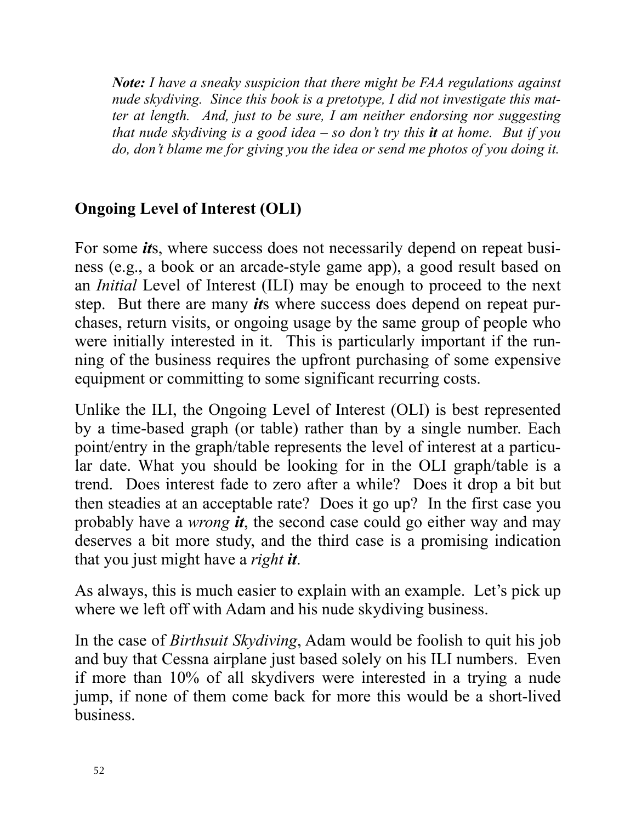*Note: I have a sneaky suspicion that there might be FAA regulations against nude skydiving. Since this book is a pretotype, I did not investigate this matter at length. And, just to be sure, I am neither endorsing nor suggesting that nude skydiving is a good idea – so don't try this it at home. But if you do, don't blame me for giving you the idea or send me photos of you doing it.*

#### **Ongoing Level of Interest (OLI)**

For some *it*s, where success does not necessarily depend on repeat business (e.g., a book or an arcade-style game app), a good result based on an *Initial* Level of Interest (ILI) may be enough to proceed to the next step. But there are many *it*s where success does depend on repeat purchases, return visits, or ongoing usage by the same group of people who were initially interested in it. This is particularly important if the running of the business requires the upfront purchasing of some expensive equipment or committing to some significant recurring costs.

Unlike the ILI, the Ongoing Level of Interest (OLI) is best represented by a time-based graph (or table) rather than by a single number. Each point/entry in the graph/table represents the level of interest at a particular date. What you should be looking for in the OLI graph/table is a trend. Does interest fade to zero after a while? Does it drop a bit but then steadies at an acceptable rate? Does it go up? In the first case you probably have a *wrong it*, the second case could go either way and may deserves a bit more study, and the third case is a promising indication that you just might have a *right it*.

As always, this is much easier to explain with an example. Let's pick up where we left off with Adam and his nude skydiving business.

In the case of *Birthsuit Skydiving*, Adam would be foolish to quit his job and buy that Cessna airplane just based solely on his ILI numbers. Even if more than 10% of all skydivers were interested in a trying a nude jump, if none of them come back for more this would be a short-lived business.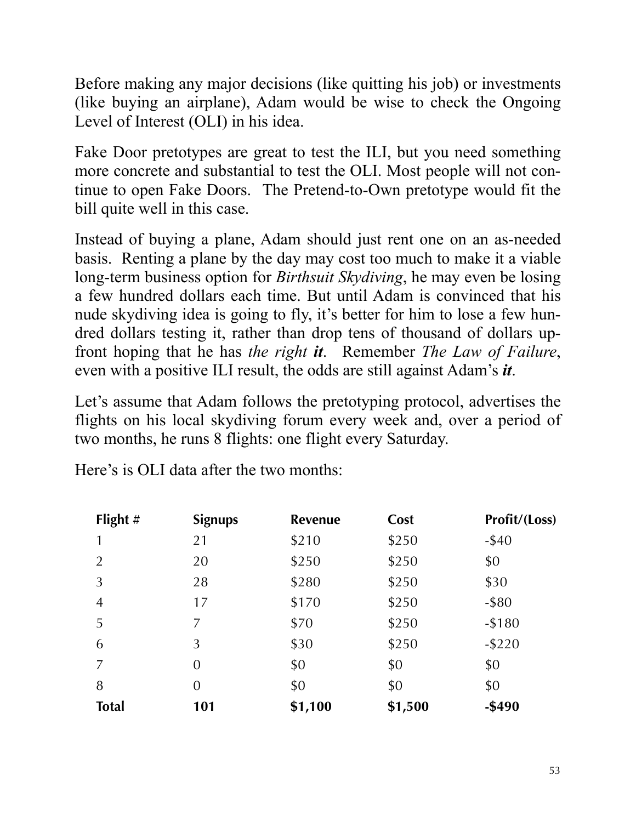Before making any major decisions (like quitting his job) or investments (like buying an airplane), Adam would be wise to check the Ongoing Level of Interest (OLI) in his idea.

Fake Door pretotypes are great to test the ILI, but you need something more concrete and substantial to test the OLI. Most people will not continue to open Fake Doors. The Pretend-to-Own pretotype would fit the bill quite well in this case.

Instead of buying a plane, Adam should just rent one on an as-needed basis. Renting a plane by the day may cost too much to make it a viable long-term business option for *Birthsuit Skydiving*, he may even be losing a few hundred dollars each time. But until Adam is convinced that his nude skydiving idea is going to fly, it's better for him to lose a few hundred dollars testing it, rather than drop tens of thousand of dollars upfront hoping that he has *the right it*. Remember *The Law of Failure*, even with a positive ILI result, the odds are still against Adam's *it*.

Let's assume that Adam follows the pretotyping protocol, advertises the flights on his local skydiving forum every week and, over a period of two months, he runs 8 flights: one flight every Saturday.

Here's is OLI data after the two months:

| Flight $#$     | <b>Signups</b> | <b>Revenue</b> | Cost    | Profit/(Loss) |
|----------------|----------------|----------------|---------|---------------|
|                | 21             | \$210          | \$250   | $-$ \$40      |
| $\overline{2}$ | 20             | \$250          | \$250   | \$0           |
| 3              | 28             | \$280          | \$250   | \$30          |
| $\overline{4}$ | 17             | \$170          | \$250   | $-$ \$80      |
| 5              | 7              | \$70           | \$250   | $-$180$       |
| 6              | 3              | \$30           | \$250   | $-$ \$220     |
| 7              | $\overline{0}$ | \$0            | \$0     | \$0           |
| 8              | $\overline{0}$ | \$0            | \$0     | \$0           |
| <b>Total</b>   | 101            | \$1,100        | \$1,500 | $-$ \$490     |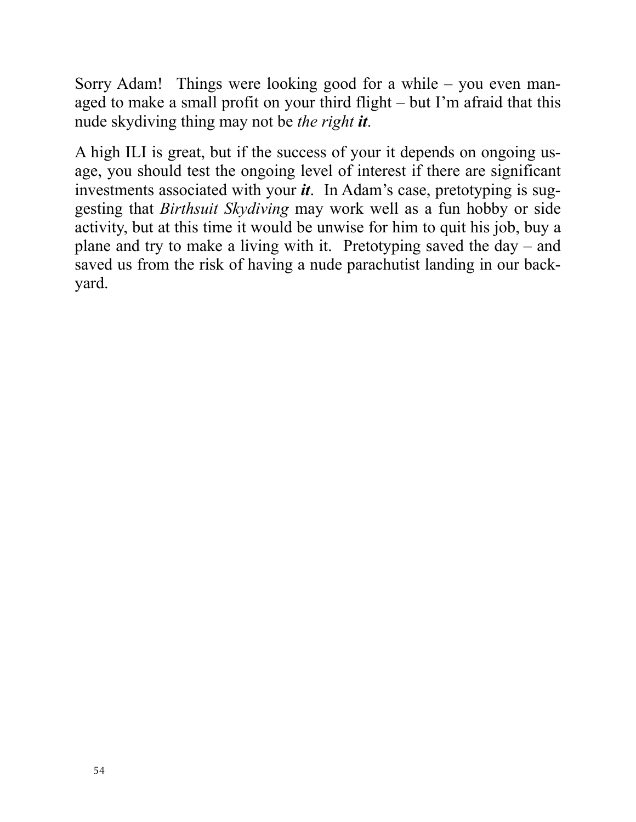Sorry Adam! Things were looking good for a while – you even managed to make a small profit on your third flight – but I'm afraid that this nude skydiving thing may not be *the right it*.

A high ILI is great, but if the success of your it depends on ongoing usage, you should test the ongoing level of interest if there are significant investments associated with your *it*. In Adam's case, pretotyping is suggesting that *Birthsuit Skydiving* may work well as a fun hobby or side activity, but at this time it would be unwise for him to quit his job, buy a plane and try to make a living with it. Pretotyping saved the day – and saved us from the risk of having a nude parachutist landing in our backyard.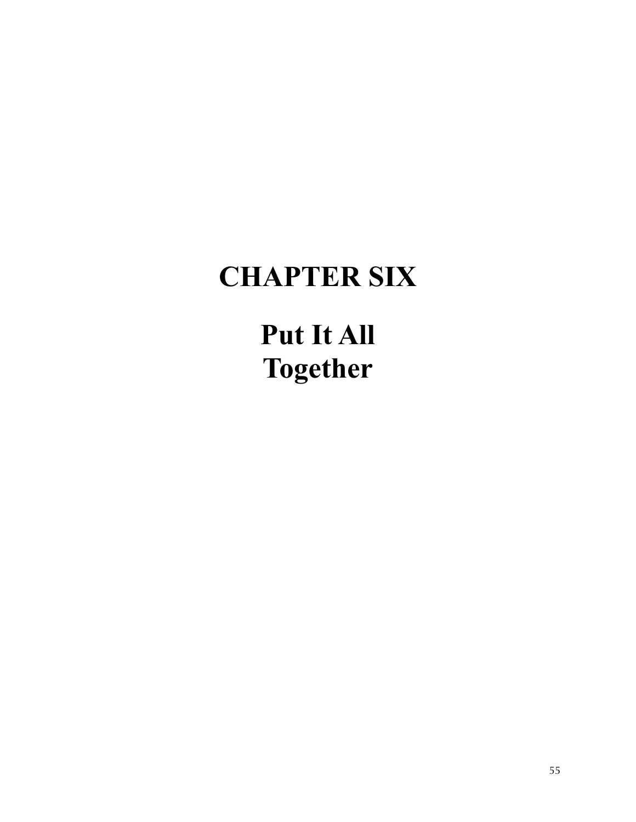### **CHAPTER SIX**

**Put It All Together**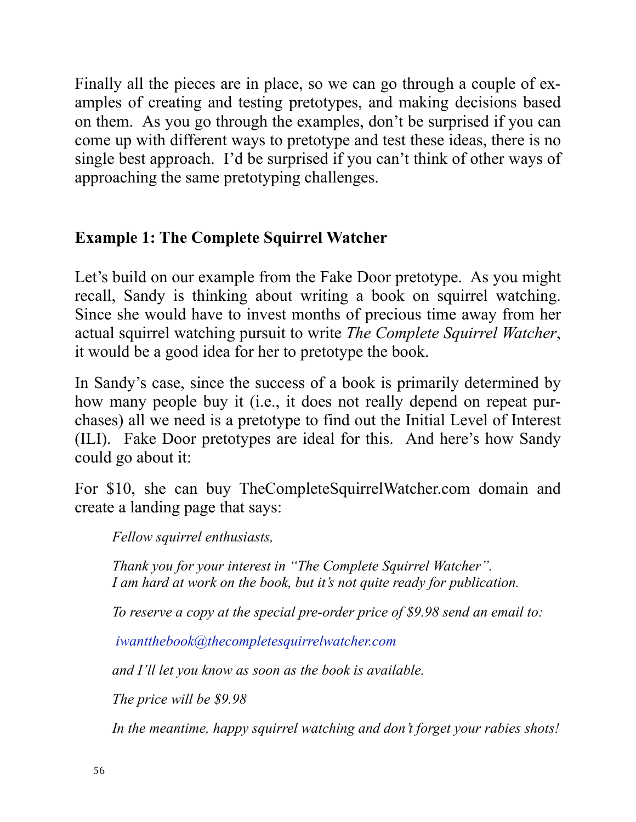Finally all the pieces are in place, so we can go through a couple of examples of creating and testing pretotypes, and making decisions based on them. As you go through the examples, don't be surprised if you can come up with different ways to pretotype and test these ideas, there is no single best approach. I'd be surprised if you can't think of other ways of approaching the same pretotyping challenges.

#### **Example 1: The Complete Squirrel Watcher**

Let's build on our example from the Fake Door pretotype. As you might recall, Sandy is thinking about writing a book on squirrel watching. Since she would have to invest months of precious time away from her actual squirrel watching pursuit to write *The Complete Squirrel Watcher*, it would be a good idea for her to pretotype the book.

In Sandy's case, since the success of a book is primarily determined by how many people buy it (i.e., it does not really depend on repeat purchases) all we need is a pretotype to find out the Initial Level of Interest (ILI). Fake Door pretotypes are ideal for this. And here's how Sandy could go about it:

For \$10, she can buy TheCompleteSquirrelWatcher.com domain and create a landing page that says:

*Fellow squirrel enthusiasts,*

*Thank you for your interest in "The Complete Squirrel Watcher". I am hard at work on the book, but it's not quite ready for publication.*

*To reserve a copy at the special pre-order price of \$9.98 send an email to:*

*[iwantthebook@thecompletesquirrelwatcher.com](mailto:iwantthebook@thecompletesquirrelwatcher.com)*

*and I'll let you know as soon as the book is available.* 

*The price will be \$9.98*

*In the meantime, happy squirrel watching and don't forget your rabies shots!*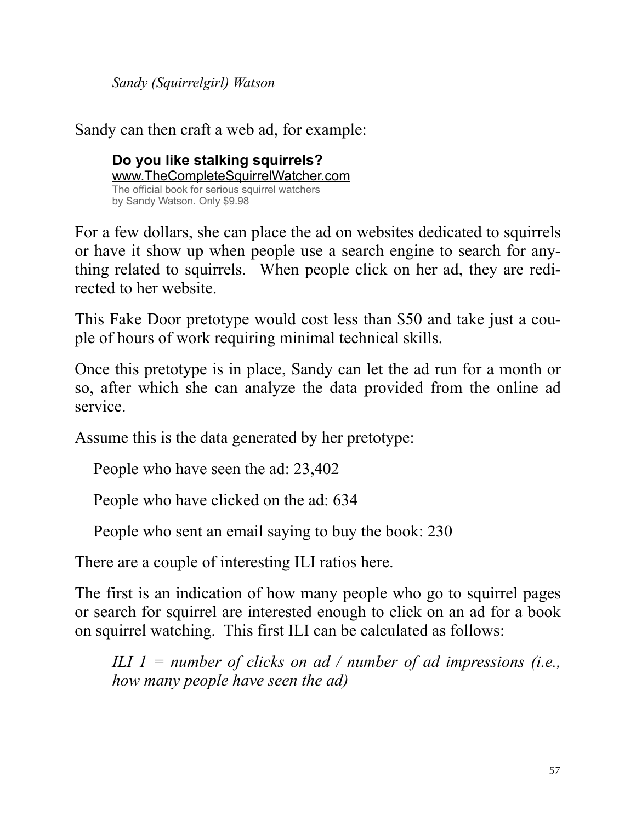*Sandy (Squirrelgirl) Watson*

Sandy can then craft a web ad, for example:

**Do you like stalking squirrels?** www.TheCompleteSquirrelWatcher.com The official book for serious squirrel watchers by Sandy Watson. Only \$9.98

For a few dollars, she can place the ad on websites dedicated to squirrels or have it show up when people use a search engine to search for anything related to squirrels. When people click on her ad, they are redirected to her website.

This Fake Door pretotype would cost less than \$50 and take just a couple of hours of work requiring minimal technical skills.

Once this pretotype is in place, Sandy can let the ad run for a month or so, after which she can analyze the data provided from the online ad service.

Assume this is the data generated by her pretotype:

People who have seen the ad: 23,402

People who have clicked on the ad: 634

People who sent an email saying to buy the book: 230

There are a couple of interesting ILI ratios here.

The first is an indication of how many people who go to squirrel pages or search for squirrel are interested enough to click on an ad for a book on squirrel watching. This first ILI can be calculated as follows:

*ILI 1 = number of clicks on ad / number of ad impressions (i.e., how many people have seen the ad)*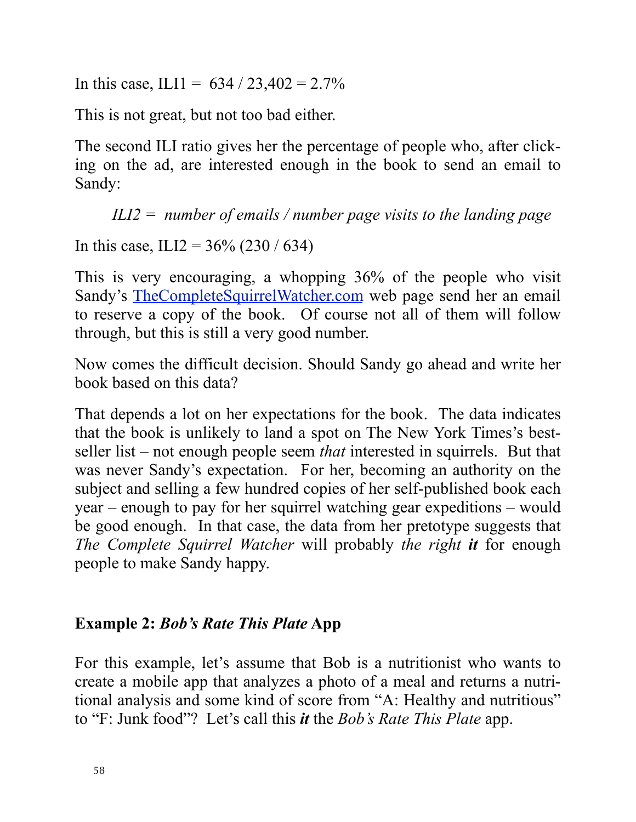In this case, ILI1 =  $634 / 23,402 = 2.7\%$ 

This is not great, but not too bad either.

The second ILI ratio gives her the percentage of people who, after clicking on the ad, are interested enough in the book to send an email to Sandy:

*ILI2 = number of emails / number page visits to the landing page*

In this case, ILI2 =  $36\%$  (230 / 634)

This is very encouraging, a whopping 36% of the people who visit Sandy's [TheCompleteSquirrelWatcher.com](http://TheCompleteSquirrelWatcher.com) web page send her an email to reserve a copy of the book. Of course not all of them will follow through, but this is still a very good number.

Now comes the difficult decision. Should Sandy go ahead and write her book based on this data?

That depends a lot on her expectations for the book. The data indicates that the book is unlikely to land a spot on The New York Times's bestseller list – not enough people seem *that* interested in squirrels. But that was never Sandy's expectation. For her, becoming an authority on the subject and selling a few hundred copies of her self-published book each year – enough to pay for her squirrel watching gear expeditions – would be good enough. In that case, the data from her pretotype suggests that *The Complete Squirrel Watcher* will probably *the right it* for enough people to make Sandy happy.

#### **Example 2:** *Bob's Rate This Plate* **App**

For this example, let's assume that Bob is a nutritionist who wants to create a mobile app that analyzes a photo of a meal and returns a nutritional analysis and some kind of score from "A: Healthy and nutritious" to "F: Junk food"? Let's call this *it* the *Bob's Rate This Plate* app.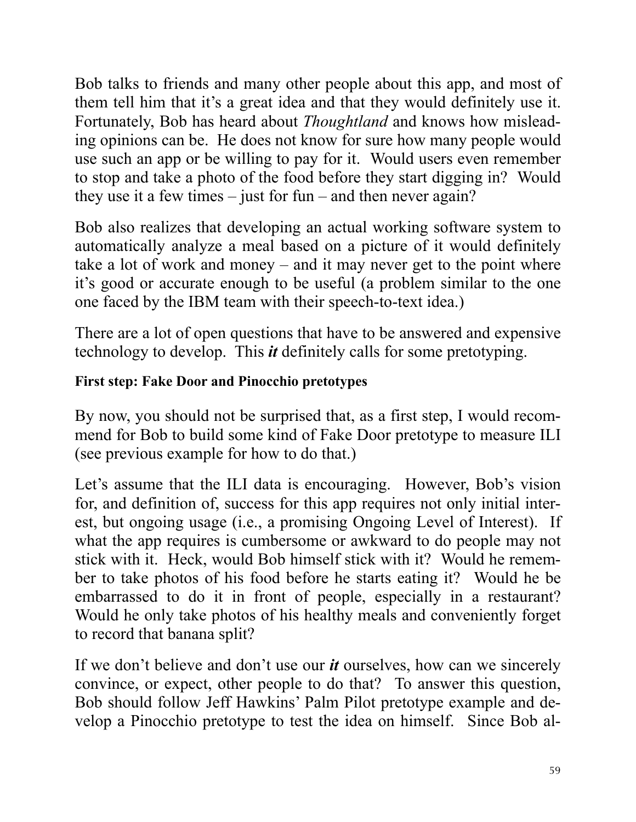Bob talks to friends and many other people about this app, and most of them tell him that it's a great idea and that they would definitely use it. Fortunately, Bob has heard about *Thoughtland* and knows how misleading opinions can be. He does not know for sure how many people would use such an app or be willing to pay for it. Would users even remember to stop and take a photo of the food before they start digging in? Would they use it a few times  $-$  just for fun – and then never again?

Bob also realizes that developing an actual working software system to automatically analyze a meal based on a picture of it would definitely take a lot of work and money – and it may never get to the point where it's good or accurate enough to be useful (a problem similar to the one one faced by the IBM team with their speech-to-text idea.)

There are a lot of open questions that have to be answered and expensive technology to develop. This *it* definitely calls for some pretotyping.

#### **First step: Fake Door and Pinocchio pretotypes**

By now, you should not be surprised that, as a first step, I would recommend for Bob to build some kind of Fake Door pretotype to measure ILI (see previous example for how to do that.)

Let's assume that the ILI data is encouraging. However, Bob's vision for, and definition of, success for this app requires not only initial interest, but ongoing usage (i.e., a promising Ongoing Level of Interest). If what the app requires is cumbersome or awkward to do people may not stick with it. Heck, would Bob himself stick with it? Would he remember to take photos of his food before he starts eating it? Would he be embarrassed to do it in front of people, especially in a restaurant? Would he only take photos of his healthy meals and conveniently forget to record that banana split?

If we don't believe and don't use our *it* ourselves, how can we sincerely convince, or expect, other people to do that? To answer this question, Bob should follow Jeff Hawkins' Palm Pilot pretotype example and develop a Pinocchio pretotype to test the idea on himself. Since Bob al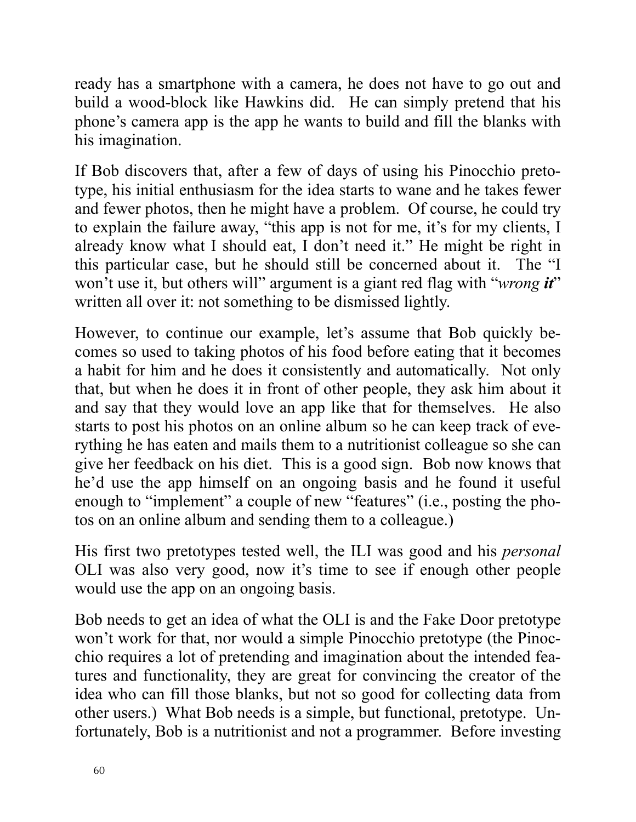ready has a smartphone with a camera, he does not have to go out and build a wood-block like Hawkins did. He can simply pretend that his phone's camera app is the app he wants to build and fill the blanks with his imagination.

If Bob discovers that, after a few of days of using his Pinocchio pretotype, his initial enthusiasm for the idea starts to wane and he takes fewer and fewer photos, then he might have a problem. Of course, he could try to explain the failure away, "this app is not for me, it's for my clients, I already know what I should eat, I don't need it." He might be right in this particular case, but he should still be concerned about it. The "I won't use it, but others will" argument is a giant red flag with "*wrong it*" written all over it: not something to be dismissed lightly.

However, to continue our example, let's assume that Bob quickly becomes so used to taking photos of his food before eating that it becomes a habit for him and he does it consistently and automatically. Not only that, but when he does it in front of other people, they ask him about it and say that they would love an app like that for themselves. He also starts to post his photos on an online album so he can keep track of everything he has eaten and mails them to a nutritionist colleague so she can give her feedback on his diet. This is a good sign. Bob now knows that he'd use the app himself on an ongoing basis and he found it useful enough to "implement" a couple of new "features" (i.e., posting the photos on an online album and sending them to a colleague.)

His first two pretotypes tested well, the ILI was good and his *personal* OLI was also very good, now it's time to see if enough other people would use the app on an ongoing basis.

Bob needs to get an idea of what the OLI is and the Fake Door pretotype won't work for that, nor would a simple Pinocchio pretotype (the Pinocchio requires a lot of pretending and imagination about the intended features and functionality, they are great for convincing the creator of the idea who can fill those blanks, but not so good for collecting data from other users.) What Bob needs is a simple, but functional, pretotype. Unfortunately, Bob is a nutritionist and not a programmer. Before investing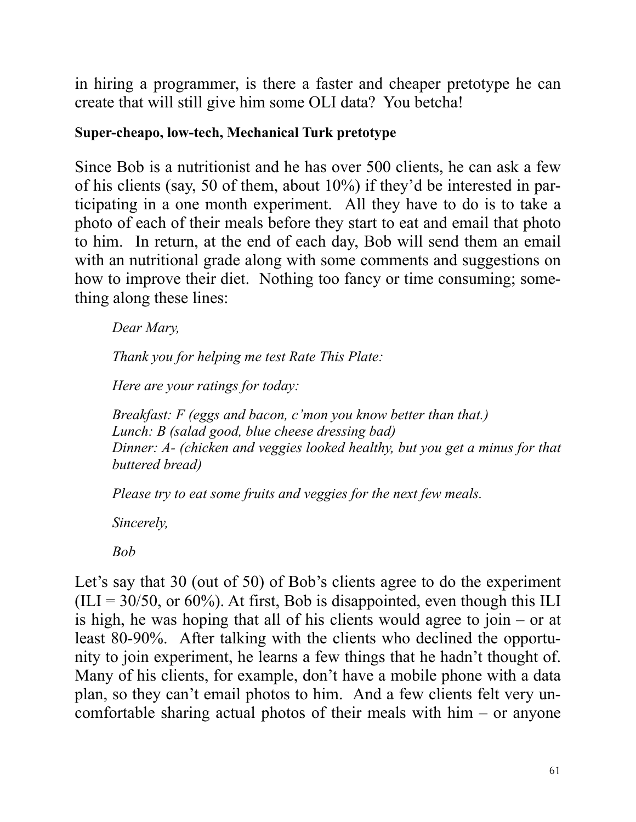in hiring a programmer, is there a faster and cheaper pretotype he can create that will still give him some OLI data? You betcha!

#### **Super-cheapo, low-tech, Mechanical Turk pretotype**

Since Bob is a nutritionist and he has over 500 clients, he can ask a few of his clients (say, 50 of them, about 10%) if they'd be interested in participating in a one month experiment. All they have to do is to take a photo of each of their meals before they start to eat and email that photo to him. In return, at the end of each day, Bob will send them an email with an nutritional grade along with some comments and suggestions on how to improve their diet. Nothing too fancy or time consuming; something along these lines:

*Dear Mary,*

*Thank you for helping me test Rate This Plate:*

*Here are your ratings for today:*

*Breakfast: F (eggs and bacon, c'mon you know better than that.) Lunch: B (salad good, blue cheese dressing bad) Dinner: A- (chicken and veggies looked healthy, but you get a minus for that buttered bread)*

*Please try to eat some fruits and veggies for the next few meals.*

*Sincerely,*

*Bob*

Let's say that 30 (out of 50) of Bob's clients agree to do the experiment  $(III = 30/50, or 60\%)$ . At first, Bob is disappointed, even though this ILI is high, he was hoping that all of his clients would agree to join – or at least 80-90%. After talking with the clients who declined the opportunity to join experiment, he learns a few things that he hadn't thought of. Many of his clients, for example, don't have a mobile phone with a data plan, so they can't email photos to him. And a few clients felt very uncomfortable sharing actual photos of their meals with him – or anyone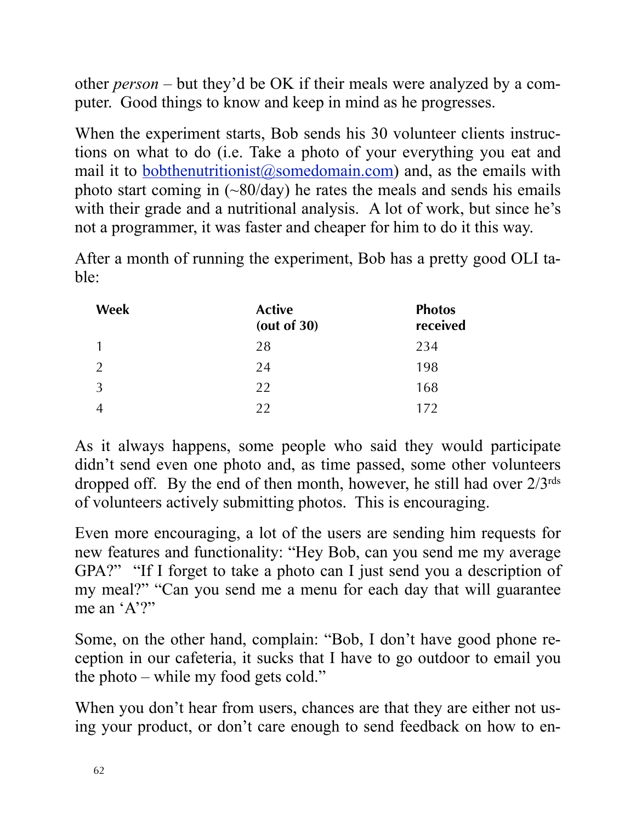other *person* – but they'd be OK if their meals were analyzed by a computer. Good things to know and keep in mind as he progresses.

When the experiment starts, Bob sends his 30 volunteer clients instructions on what to do (i.e. Take a photo of your everything you eat and mail it to **bobthenutritionist** $\omega$  some domain.com) and, as the emails with photo start coming in  $(-80/\text{day})$  he rates the meals and sends his emails with their grade and a nutritional analysis. A lot of work, but since he's not a programmer, it was faster and cheaper for him to do it this way.

After a month of running the experiment, Bob has a pretty good OLI table:

| Week           | <b>Active</b><br>(out of $30$ ) | <b>Photos</b><br>received |
|----------------|---------------------------------|---------------------------|
| $\mathbf{1}$   | 28                              | 234                       |
| $\overline{2}$ | 24                              | 198                       |
| $\mathfrak{Z}$ | 22                              | 168                       |
| $\overline{4}$ | 22                              | 172                       |

As it always happens, some people who said they would participate didn't send even one photo and, as time passed, some other volunteers dropped off. By the end of then month, however, he still had over  $2/3^{rds}$ of volunteers actively submitting photos. This is encouraging.

Even more encouraging, a lot of the users are sending him requests for new features and functionality: "Hey Bob, can you send me my average GPA?" "If I forget to take a photo can I just send you a description of my meal?" "Can you send me a menu for each day that will guarantee me an 'A'?"

Some, on the other hand, complain: "Bob, I don't have good phone reception in our cafeteria, it sucks that I have to go outdoor to email you the photo – while my food gets cold."

When you don't hear from users, chances are that they are either not using your product, or don't care enough to send feedback on how to en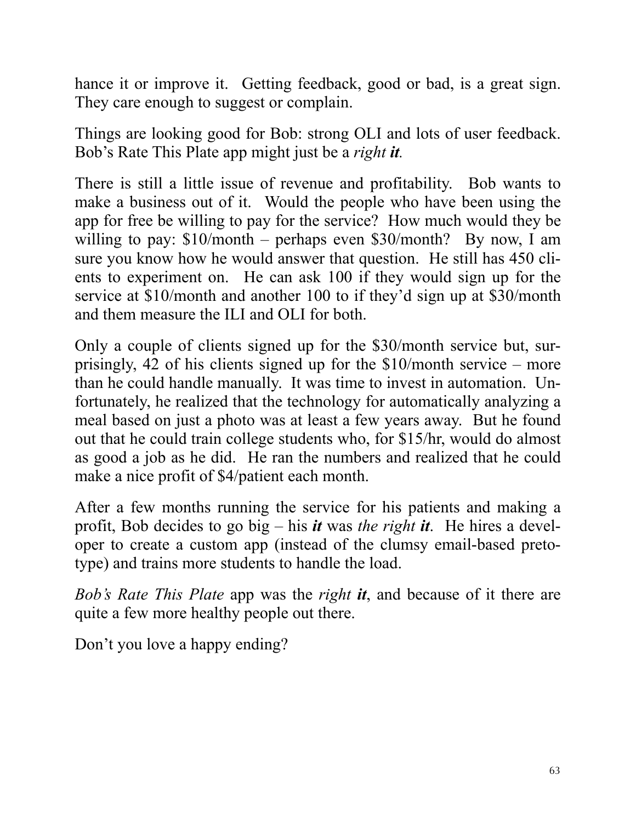hance it or improve it. Getting feedback, good or bad, is a great sign. They care enough to suggest or complain.

Things are looking good for Bob: strong OLI and lots of user feedback. Bob's Rate This Plate app might just be a *right it.*

There is still a little issue of revenue and profitability. Bob wants to make a business out of it. Would the people who have been using the app for free be willing to pay for the service? How much would they be willing to pay:  $$10/morth$  – perhaps even  $$30/month$ ? By now, I am sure you know how he would answer that question. He still has 450 clients to experiment on. He can ask 100 if they would sign up for the service at \$10/month and another 100 to if they'd sign up at \$30/month and them measure the ILI and OLI for both.

Only a couple of clients signed up for the \$30/month service but, surprisingly, 42 of his clients signed up for the \$10/month service – more than he could handle manually. It was time to invest in automation. Unfortunately, he realized that the technology for automatically analyzing a meal based on just a photo was at least a few years away. But he found out that he could train college students who, for \$15/hr, would do almost as good a job as he did. He ran the numbers and realized that he could make a nice profit of \$4/patient each month.

After a few months running the service for his patients and making a profit, Bob decides to go big – his *it* was *the right it*. He hires a developer to create a custom app (instead of the clumsy email-based pretotype) and trains more students to handle the load.

*Bob's Rate This Plate* app was the *right it*, and because of it there are quite a few more healthy people out there.

Don't you love a happy ending?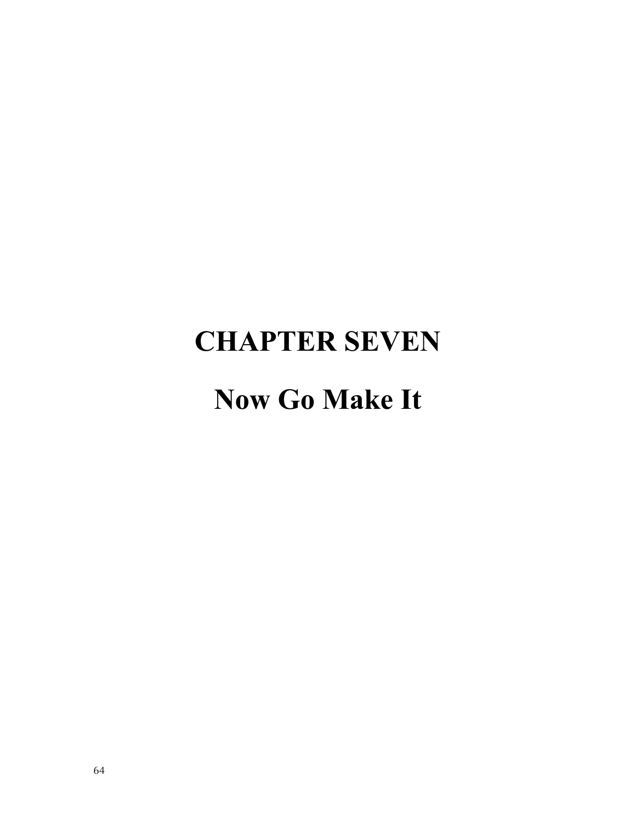### **CHAPTER SEVEN**

### **Now Go Make It**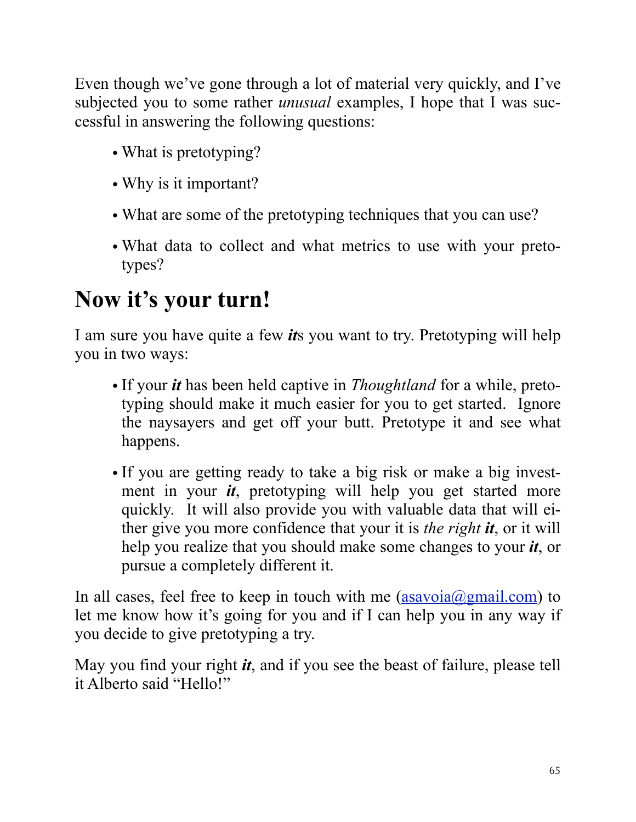Even though we've gone through a lot of material very quickly, and I've subjected you to some rather *unusual* examples, I hope that I was successful in answering the following questions:

- What is pretotyping?
- Why is it important?
- What are some of the pretotyping techniques that you can use?
- What data to collect and what metrics to use with your pretotypes?

### **Now it's your turn!**

I am sure you have quite a few *it*s you want to try. Pretotyping will help you in two ways:

- If your *it* has been held captive in *Thoughtland* for a while, pretotyping should make it much easier for you to get started. Ignore the naysayers and get off your butt. Pretotype it and see what happens.
- If you are getting ready to take a big risk or make a big investment in your *it*, pretotyping will help you get started more quickly. It will also provide you with valuable data that will either give you more confidence that your it is *the right it*, or it will help you realize that you should make some changes to your *it*, or pursue a completely different it.

In all cases, feel free to keep in touch with me  $(assavoia@gmail.com)$  to let me know how it's going for you and if I can help you in any way if you decide to give pretotyping a try.

May you find your right *it*, and if you see the beast of failure, please tell it Alberto said "Hello!"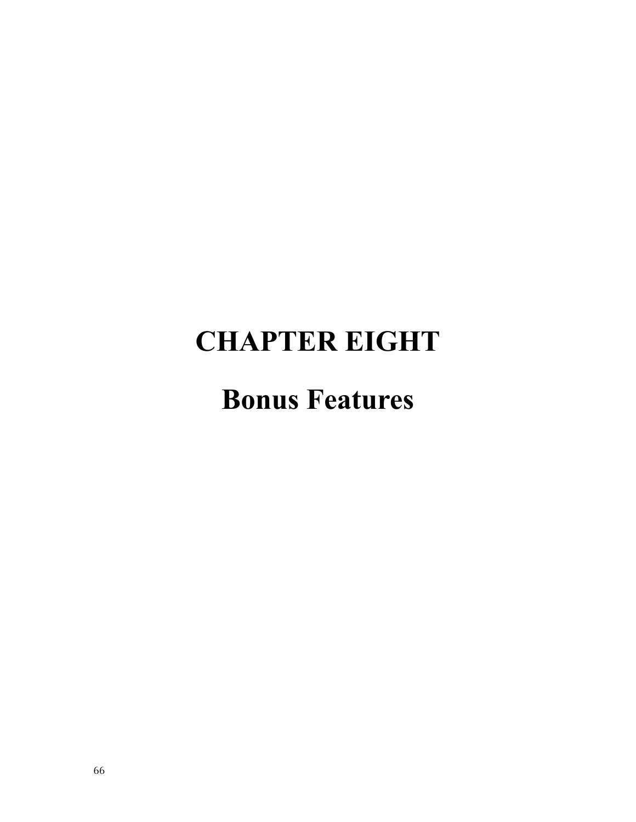### **CHAPTER EIGHT**

### **Bonus Features**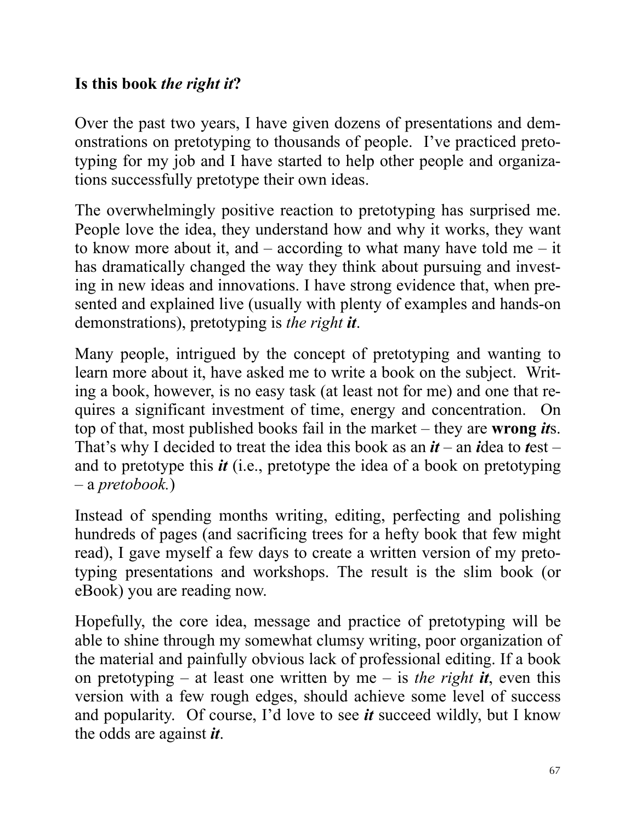#### **Is this book** *the right it***?**

Over the past two years, I have given dozens of presentations and demonstrations on pretotyping to thousands of people. I've practiced pretotyping for my job and I have started to help other people and organizations successfully pretotype their own ideas.

The overwhelmingly positive reaction to pretotyping has surprised me. People love the idea, they understand how and why it works, they want to know more about it, and  $-$  according to what many have told me  $-$  it has dramatically changed the way they think about pursuing and investing in new ideas and innovations. I have strong evidence that, when presented and explained live (usually with plenty of examples and hands-on demonstrations), pretotyping is *the right it*.

Many people, intrigued by the concept of pretotyping and wanting to learn more about it, have asked me to write a book on the subject. Writing a book, however, is no easy task (at least not for me) and one that requires a significant investment of time, energy and concentration. On top of that, most published books fail in the market – they are **wrong** *it*s. That's why I decided to treat the idea this book as an *it* – an *i*dea to *t*est – and to pretotype this *it* (i.e., pretotype the idea of a book on pretotyping – a *pretobook.*)

Instead of spending months writing, editing, perfecting and polishing hundreds of pages (and sacrificing trees for a hefty book that few might read), I gave myself a few days to create a written version of my pretotyping presentations and workshops. The result is the slim book (or eBook) you are reading now.

Hopefully, the core idea, message and practice of pretotyping will be able to shine through my somewhat clumsy writing, poor organization of the material and painfully obvious lack of professional editing. If a book on pretotyping – at least one written by me – is *the right it*, even this version with a few rough edges, should achieve some level of success and popularity. Of course, I'd love to see *it* succeed wildly, but I know the odds are against *it*.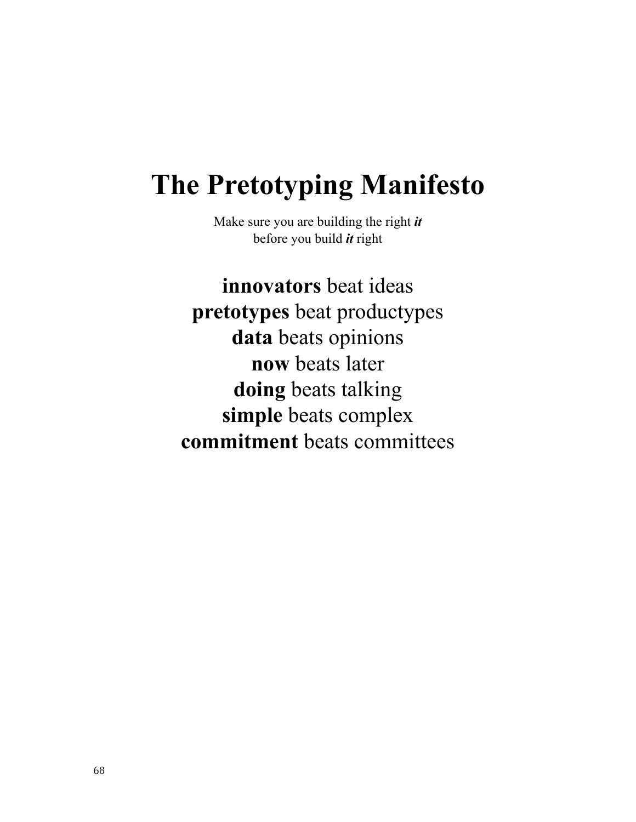### **The Pretotyping Manifesto**

Make sure you are building the right *it* before you build *it* right

**innovators** beat ideas **pretotypes** beat productypes **data** beats opinions **now** beats later **doing** beats talking **simple** beats complex **commitment** beats committees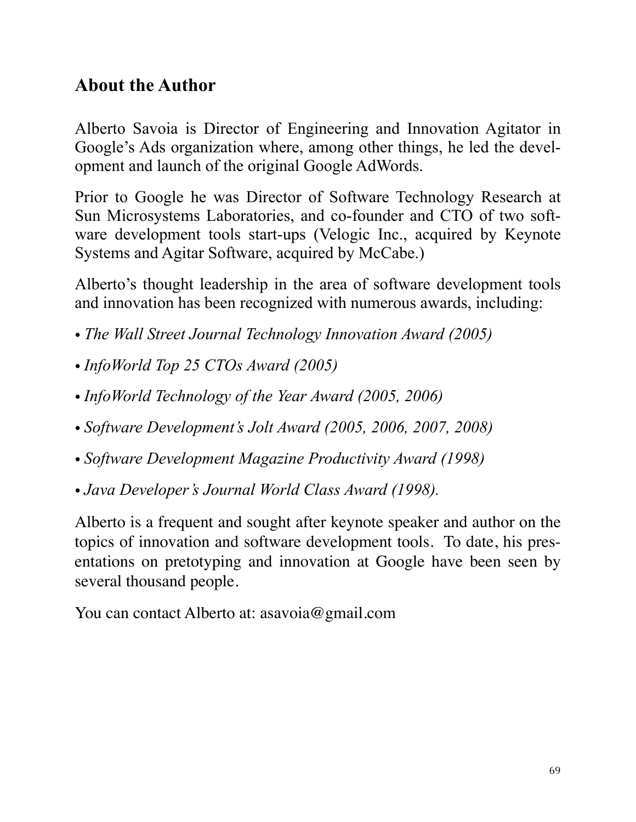#### **About the Author**

Alberto Savoia is Director of Engineering and Innovation Agitator in Google's Ads organization where, among other things, he led the development and launch of the original Google AdWords.

Prior to Google he was Director of Software Technology Research at Sun Microsystems Laboratories, and co-founder and CTO of two software development tools start-ups (Velogic Inc., acquired by Keynote Systems and Agitar Software, acquired by McCabe.)

Alberto's thought leadership in the area of software development tools and innovation has been recognized with numerous awards, including:

- *The Wall Street Journal Technology Innovation Award (2005)*
- *InfoWorld Top 25 CTOs Award (2005)*
- *InfoWorld Technology of the Year Award (2005, 2006)*
- *Software Development's Jolt Award (2005, 2006, 2007, 2008)*
- *Software Development Magazine Productivity Award (1998)*
- *Java Developer's Journal World Class Award (1998).*

Alberto is a frequent and sought after keynote speaker and author on the topics of innovation and software development tools. To date, his presentations on pretotyping and innovation at Google have been seen by several thousand people.

You can contact Alberto at: asavoia@gmail.com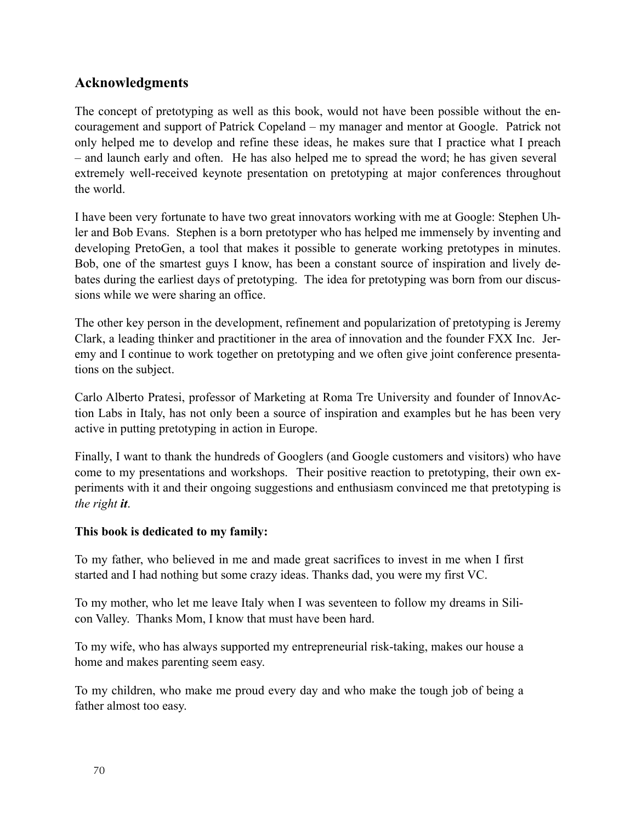#### **Acknowledgments**

The concept of pretotyping as well as this book, would not have been possible without the encouragement and support of Patrick Copeland – my manager and mentor at Google. Patrick not only helped me to develop and refine these ideas, he makes sure that I practice what I preach – and launch early and often. He has also helped me to spread the word; he has given several extremely well-received keynote presentation on pretotyping at major conferences throughout the world.

I have been very fortunate to have two great innovators working with me at Google: Stephen Uhler and Bob Evans. Stephen is a born pretotyper who has helped me immensely by inventing and developing PretoGen, a tool that makes it possible to generate working pretotypes in minutes. Bob, one of the smartest guys I know, has been a constant source of inspiration and lively debates during the earliest days of pretotyping. The idea for pretotyping was born from our discussions while we were sharing an office.

The other key person in the development, refinement and popularization of pretotyping is Jeremy Clark, a leading thinker and practitioner in the area of innovation and the founder FXX Inc. Jeremy and I continue to work together on pretotyping and we often give joint conference presentations on the subject.

Carlo Alberto Pratesi, professor of Marketing at Roma Tre University and founder of InnovAction Labs in Italy, has not only been a source of inspiration and examples but he has been very active in putting pretotyping in action in Europe.

Finally, I want to thank the hundreds of Googlers (and Google customers and visitors) who have come to my presentations and workshops. Their positive reaction to pretotyping, their own experiments with it and their ongoing suggestions and enthusiasm convinced me that pretotyping is *the right it*.

#### **This book is dedicated to my family:**

To my father, who believed in me and made great sacrifices to invest in me when I first started and I had nothing but some crazy ideas. Thanks dad, you were my first VC.

To my mother, who let me leave Italy when I was seventeen to follow my dreams in Silicon Valley. Thanks Mom, I know that must have been hard.

To my wife, who has always supported my entrepreneurial risk-taking, makes our house a home and makes parenting seem easy.

To my children, who make me proud every day and who make the tough job of being a father almost too easy.